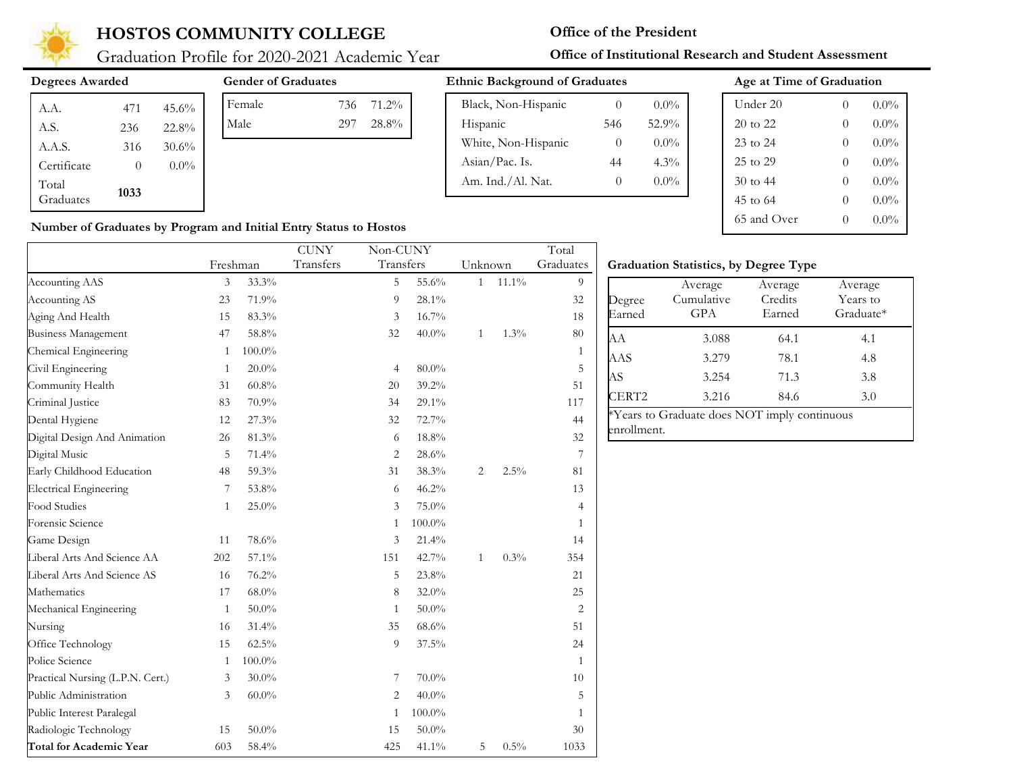

Graduation Profile for 2020-2021 Academic Year

| <b>Office of the President</b> |
|--------------------------------|
|--------------------------------|

**Office of Institutional Research and Student Assessment**

| <b>Degrees Awarded</b> |            |                | <b>Gender of Gradua</b> |
|------------------------|------------|----------------|-------------------------|
| A.A.<br>A.S.           | 471<br>236 | 45.6%<br>22.8% | Female<br>Male          |
| A.A.S.                 | 316        | 30.6%          |                         |
| Certificate            |            | $0.0\%$        |                         |
| Total<br>Graduates     | 1033       |                |                         |

| $\left. \begin{array}{cc} 736 & 71.2\% \\ 297 & 28.8\% \end{array} \right $<br>Female |
|---------------------------------------------------------------------------------------|
| Male                                                                                  |

| <b>Ethnic Background of Graduates</b> |                  |         |  |  |  |
|---------------------------------------|------------------|---------|--|--|--|
| Black, Non-Hispanic                   | $\left( \right)$ | $0.0\%$ |  |  |  |
| Hispanic                              | 546              | 52.9%   |  |  |  |
| White, Non-Hispanic                   | $\left( \right)$ | $0.0\%$ |  |  |  |
| Asian/Pac. Is.                        | 44               | $4.3\%$ |  |  |  |
| Am. Ind./Al. Nat.                     |                  | $0.0\%$ |  |  |  |
|                                       |                  |         |  |  |  |

| Age at Time of Graduation |          |         |  |  |  |
|---------------------------|----------|---------|--|--|--|
| Under 20                  | $\Omega$ | $0.0\%$ |  |  |  |
| $20 \text{ to } 22$       | 0        | $0.0\%$ |  |  |  |
| $23 \text{ to } 24$       | 0        | $0.0\%$ |  |  |  |
| $25 \text{ to } 29$       | 0        | $0.0\%$ |  |  |  |
| $30 \text{ to } 44$       | 0        | $0.0\%$ |  |  |  |
| 45 to 64                  | 0        | $0.0\%$ |  |  |  |
| 65 and Over               |          | $0.0\%$ |  |  |  |

### **Number of Graduates by Program and Initial Entry Status to Hostos**

|                                  |              |          | <b>CUNY</b> | Non-CUNY     |          |              |          | Total        |
|----------------------------------|--------------|----------|-------------|--------------|----------|--------------|----------|--------------|
|                                  | Freshman     |          | Transfers   | Transfers    |          | Unknown      |          | Graduates    |
| Accounting AAS                   | 3            | 33.3%    |             | 5            | 55.6%    | $\mathbf{1}$ | $11.1\%$ | 9            |
| Accounting AS                    | 23           | 71.9%    |             | 9            | 28.1%    |              |          | 32           |
| Aging And Health                 | 15           | 83.3%    |             | 3            | 16.7%    |              |          | 18           |
| <b>Business Management</b>       | 47           | 58.8%    |             | 32           | 40.0%    | $\mathbf{1}$ | 1.3%     | 80           |
| Chemical Engineering             | $\mathbf{1}$ | 100.0%   |             |              |          |              |          | $\mathbf{1}$ |
| Civil Engineering                | $\mathbf{1}$ | 20.0%    |             | 4            | 80.0%    |              |          | 5            |
| Community Health                 | 31           | 60.8%    |             | 20           | 39.2%    |              |          | 51           |
| Criminal Justice                 | 83           | 70.9%    |             | 34           | 29.1%    |              |          | 117          |
| Dental Hygiene                   | 12           | 27.3%    |             | 32           | 72.7%    |              |          | 44           |
| Digital Design And Animation     | 26           | 81.3%    |             | 6            | 18.8%    |              |          | 32           |
| Digital Music                    | 5            | 71.4%    |             | 2            | 28.6%    |              |          | 7            |
| Early Childhood Education        | 48           | 59.3%    |             | 31           | 38.3%    | 2            | $2.5\%$  | 81           |
| <b>Electrical Engineering</b>    | 7            | 53.8%    |             | 6            | 46.2%    |              |          | 13           |
| <b>Food Studies</b>              | $\mathbf{1}$ | 25.0%    |             | 3            | 75.0%    |              |          | 4            |
| Forensic Science                 |              |          |             | $\mathbf{1}$ | 100.0%   |              |          | $\mathbf{1}$ |
| Game Design                      | 11           | 78.6%    |             | 3            | 21.4%    |              |          | 14           |
| Liberal Arts And Science AA      | 202          | 57.1%    |             | 151          | 42.7%    | 1            | 0.3%     | 354          |
| Liberal Arts And Science AS      | 16           | 76.2%    |             | 5            | 23.8%    |              |          | 21           |
| Mathematics                      | 17           | $68.0\%$ |             | 8            | 32.0%    |              |          | 25           |
| Mechanical Engineering           | $\mathbf{1}$ | 50.0%    |             | $\mathbf{1}$ | $50.0\%$ |              |          | 2            |
| Nursing                          | 16           | 31.4%    |             | 35           | 68.6%    |              |          | 51           |
| Office Technology                | 15           | $62.5\%$ |             | 9            | 37.5%    |              |          | 24           |
| Police Science                   | $\mathbf{1}$ | 100.0%   |             |              |          |              |          | $\mathbf{1}$ |
| Practical Nursing (L.P.N. Cert.) | 3            | 30.0%    |             | 7            | 70.0%    |              |          | 10           |
| Public Administration            | 3            | $60.0\%$ |             | 2            | $40.0\%$ |              |          | 5            |
| Public Interest Paralegal        |              |          |             | $\mathbf{1}$ | 100.0%   |              |          | $\mathbf{1}$ |
| Radiologic Technology            | 15           | 50.0%    |             | 15           | $50.0\%$ |              |          | 30           |
| Total for Academic Year          | 603          | 58.4%    |             | 425          | 41.1%    | 5            | 0.5%     | 1033         |

| Degree<br>Earned | Average<br>Cumulative<br><b>GPA</b> | Average<br>Credits<br>Earned | Average<br>Years to<br>Graduate* |
|------------------|-------------------------------------|------------------------------|----------------------------------|
| AА               | 3.088                               | 64.1                         | 4.1                              |
| AAS              | 3.279                               | 78.1                         | 4.8                              |
| AS               | 3.254                               | 71.3                         | 3.8                              |
| CERT2            | 3.216                               | 84.6                         | 3.0                              |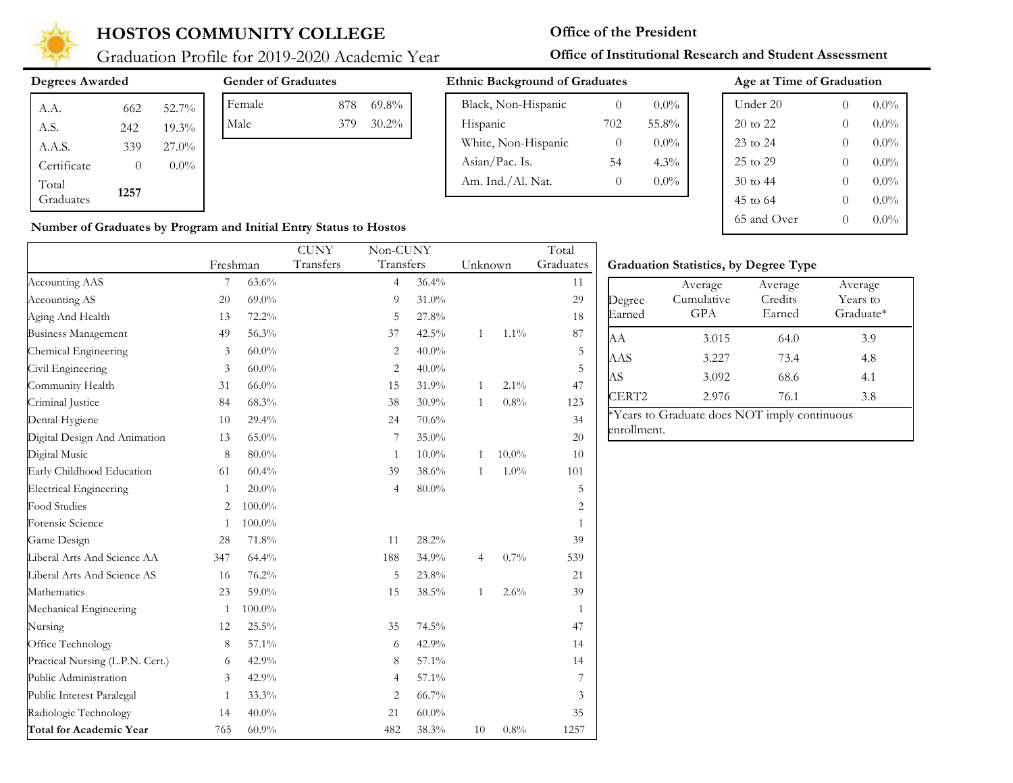

Graduation Profile for 2019-2020 Academic Year

| <b>Office of the President</b> |
|--------------------------------|
|--------------------------------|

**Office of Institutional Research and Student Assessment**

| <b>Degrees Awarded</b> |            |                  | <b>Gender of Graduate</b> |
|------------------------|------------|------------------|---------------------------|
| A.A.<br>A.S.           | 662<br>242 | 52.7%<br>19.3%   | Female<br>Male            |
| A.A.S.<br>Certificate  | 339        | 27.0%<br>$0.0\%$ |                           |
| Total<br>Graduates     | 1257       |                  |                           |

| <b>Gender of Graduates</b> |  |           |  |  |  |
|----------------------------|--|-----------|--|--|--|
| Female                     |  | 878 69.8% |  |  |  |
| Male                       |  | 379 30.2% |  |  |  |

| <b>Ethnic Background of Graduates</b> |                  |         |  |  |  |
|---------------------------------------|------------------|---------|--|--|--|
| Black, Non-Hispanic                   | $\left( \right)$ | $0.0\%$ |  |  |  |
| Hispanic                              | 702              | 55.8%   |  |  |  |
| White, Non-Hispanic                   | $\left( \right)$ | $0.0\%$ |  |  |  |
| Asian/Pac. Is.                        | 54               | $4.3\%$ |  |  |  |
| Am. Ind./Al. Nat.                     |                  | $0.0\%$ |  |  |  |

| Age at Time of Graduation |          |         |  |  |
|---------------------------|----------|---------|--|--|
| Under 20                  |          | $0.0\%$ |  |  |
| $20 \; \mathrm{to} \; 22$ | $\Omega$ | $0.0\%$ |  |  |
| $23 \text{ to } 24$       | 0        | $0.0\%$ |  |  |
| $25 \text{ to } 29$       | 0        | $0.0\%$ |  |  |
| $30 \text{ to } 44$       | $\Omega$ | $0.0\%$ |  |  |
| 45 to 64                  | $\Omega$ | $0.0\%$ |  |  |
| 65 and Over               |          | $0.0\%$ |  |  |

### **Number of Graduates by Program and Initial Entry Status to Hostos**

|                                  |          |          | <b>CUNY</b> | Non-CUNY  |          |              |          | Total          |             |                                              |         |
|----------------------------------|----------|----------|-------------|-----------|----------|--------------|----------|----------------|-------------|----------------------------------------------|---------|
|                                  | Freshman |          | Transfers   | Transfers |          | Unknown      |          | Graduates      |             | <b>Graduation Statistics, by Degree Type</b> |         |
| <b>Accounting AAS</b>            | 7        | 63.6%    |             | 4         | 36.4%    |              |          | 11             |             | Average                                      | Average |
| Accounting AS                    | 20       | $69.0\%$ |             | 9         | $31.0\%$ |              |          | 29             | Degree      | Cumulative                                   | Credits |
| Aging And Health                 | 13       | 72.2%    |             | 5         | 27.8%    |              |          | 18             | Earned      | <b>GPA</b>                                   | Earned  |
| <b>Business Management</b>       | 49       | 56.3%    |             | 37        | 42.5%    | $\mathbf{1}$ | $1.1\%$  | 87             | AA          | 3.015                                        | 64.0    |
| Chemical Engineering             | 3        | $60.0\%$ |             | 2         | $40.0\%$ |              |          | 5              | AAS         | 3.227                                        | 73.4    |
| Civil Engineering                | 3        | $60.0\%$ |             | 2         | $40.0\%$ |              |          | 5              | AS          | 3.092                                        | 68.6    |
| Community Health                 | 31       | 66.0%    |             | 15        | 31.9%    | $\mathbf{1}$ | $2.1\%$  | 47             |             |                                              |         |
| Criminal Justice                 | 84       | 68.3%    |             | 38        | 30.9%    | $\mathbf{1}$ | 0.8%     | 123            | CERT2       | 2.976                                        | 76.1    |
| Dental Hygiene                   | 10       | 29.4%    |             | 24        | 70.6%    |              |          | 34             |             | *Years to Graduate does NOT imply cont       |         |
| Digital Design And Animation     | 13       | 65.0%    |             | 7         | 35.0%    |              |          | $20\,$         | enrollment. |                                              |         |
| Digital Music                    | 8        | $80.0\%$ |             | 1         | $10.0\%$ | 1            | $10.0\%$ | 10             |             |                                              |         |
| Early Childhood Education        | 61       | 60.4%    |             | 39        | 38.6%    | $\mathbf{1}$ | $1.0\%$  | 101            |             |                                              |         |
| <b>Electrical Engineering</b>    | -1       | $20.0\%$ |             | 4         | $80.0\%$ |              |          | 5              |             |                                              |         |
| Food Studies                     | 2        | 100.0%   |             |           |          |              |          | $\overline{2}$ |             |                                              |         |
| Forensic Science                 | 1        | 100.0%   |             |           |          |              |          |                |             |                                              |         |
| Game Design                      | 28       | 71.8%    |             | 11        | 28.2%    |              |          | 39             |             |                                              |         |
| Liberal Arts And Science AA      | 347      | 64.4%    |             | 188       | 34.9%    | 4            | 0.7%     | 539            |             |                                              |         |
| Liberal Arts And Science AS      | 16       | 76.2%    |             | 5         | 23.8%    |              |          | 21             |             |                                              |         |
| Mathematics                      | 23       | 59.0%    |             | 15        | 38.5%    | $\mathbf{1}$ | 2.6%     | 39             |             |                                              |         |
| Mechanical Engineering           | 1        | 100.0%   |             |           |          |              |          | $\mathbf{1}$   |             |                                              |         |
| Nursing                          | 12       | 25.5%    |             | 35        | 74.5%    |              |          | 47             |             |                                              |         |
| Office Technology                | 8        | 57.1%    |             | 6         | 42.9%    |              |          | 14             |             |                                              |         |
| Practical Nursing (L.P.N. Cert.) | 6        | 42.9%    |             | 8         | 57.1%    |              |          | 14             |             |                                              |         |
| Public Administration            | 3        | 42.9%    |             | 4         | 57.1%    |              |          | 7              |             |                                              |         |
| Public Interest Paralegal        | 1        | 33.3%    |             | 2         | 66.7%    |              |          | 3              |             |                                              |         |
| Radiologic Technology            | 14       | $40.0\%$ |             | 21        | $60.0\%$ |              |          | 35             |             |                                              |         |
| <b>Total for Academic Year</b>   | 765      | 60.9%    |             | 482       | 38.3%    | 10           | $0.8\%$  | 1257           |             |                                              |         |

| <br>$\sim$     |        |  |
|----------------|--------|--|
| <u>veratre</u> | TPF30P |  |

| Degree<br>Earned | Average<br>Cumulative<br>GPA | Average<br>Credits<br>Earned | Average<br>Years to<br>Graduate* |
|------------------|------------------------------|------------------------------|----------------------------------|
| AА               | 3.015                        | 64.0                         | 3.9                              |
| AAS              | 3.227                        | 73.4                         | 4.8                              |
| AS               | 3.092                        | 68.6                         | 4.1                              |
| CERT2            | 2.976                        | 76.1                         | 3.8                              |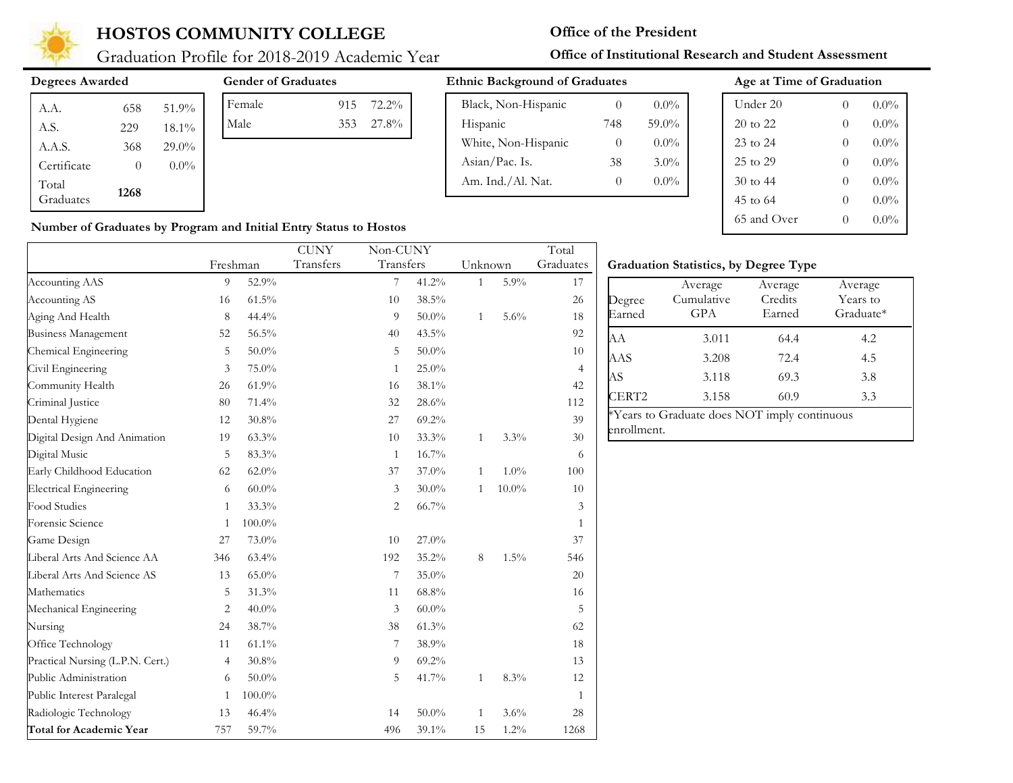

Graduation Profile for 2018-2019 Academic Year

**Office of Institutional Research and Student Assessment**

| <b>Degrees Awarded</b> |            | <b>Gender of Graduat</b> |                |
|------------------------|------------|--------------------------|----------------|
| A.A.<br>A.S.           | 658<br>229 | 51.9%<br>18.1%           | Female<br>Male |
| A.A.S.                 | 368        | 29.0%                    |                |
| Certificate            |            | $0.0\%$                  |                |
| Total<br>Graduates     | 1268       |                          |                |

| <b>Gender of Graduates</b><br>Female | 915 72.2% |
|--------------------------------------|-----------|
| Male                                 | 353 27.8% |

| <b>Ethnic Background of Graduates</b> |                  |         |  |  |  |
|---------------------------------------|------------------|---------|--|--|--|
| Black, Non-Hispanic                   | $\left( \right)$ | $0.0\%$ |  |  |  |
| Hispanic                              | 748              | 59.0%   |  |  |  |
| White, Non-Hispanic                   | $\left( \right)$ | $0.0\%$ |  |  |  |
| Asian/Pac. Is.                        | 38               | $3.0\%$ |  |  |  |
| Am. Ind./Al. Nat.                     |                  | $0.0\%$ |  |  |  |

| Age at Time of Graduation |          |         |  |  |  |  |
|---------------------------|----------|---------|--|--|--|--|
| Under 20                  | $\Omega$ | $0.0\%$ |  |  |  |  |
| $20 \text{ to } 22$       | 0        | $0.0\%$ |  |  |  |  |
| $23 \text{ to } 24$       | 0        | $0.0\%$ |  |  |  |  |
| $25 \text{ to } 29$       | 0        | $0.0\%$ |  |  |  |  |
| $30 \text{ to } 44$       | 0        | $0.0\%$ |  |  |  |  |
| 45 to 64                  | ∩        | $0.0\%$ |  |  |  |  |
| 65 and Over               |          | $0.0\%$ |  |  |  |  |

**Number of Graduates by Program and Initial Entry Status to Hostos**

|                                  |                |          | <b>CUNY</b> | Non-CUNY       |          |              |          | Total          |
|----------------------------------|----------------|----------|-------------|----------------|----------|--------------|----------|----------------|
|                                  | Freshman       |          | Transfers   | Transfers      |          | Unknown      |          | Graduates      |
| Accounting AAS                   | 9              | 52.9%    |             | 7              | 41.2%    | $\mathbf{1}$ | 5.9%     | 17             |
| Accounting AS                    | 16             | 61.5%    |             | 10             | 38.5%    |              |          | 26             |
| Aging And Health                 | 8              | 44.4%    |             | 9              | $50.0\%$ | $\mathbf{1}$ | 5.6%     | 18             |
| Business Management              | 52             | 56.5%    |             | 40             | 43.5%    |              |          | 92             |
| Chemical Engineering             | 5              | 50.0%    |             | 5              | $50.0\%$ |              |          | 10             |
| Civil Engineering                | 3              | 75.0%    |             | 1              | 25.0%    |              |          | $\overline{4}$ |
| Community Health                 | 26             | 61.9%    |             | 16             | 38.1%    |              |          | 42             |
| Criminal Justice                 | 80             | 71.4%    |             | 32             | 28.6%    |              |          | 112            |
| Dental Hygiene                   | 12             | 30.8%    |             | 27             | 69.2%    |              |          | 39             |
| Digital Design And Animation     | 19             | 63.3%    |             | 10             | 33.3%    | $\mathbf{1}$ | 3.3%     | 30             |
| Digital Music                    | 5              | 83.3%    |             | 1              | $16.7\%$ |              |          | 6              |
| Early Childhood Education        | 62             | $62.0\%$ |             | 37             | 37.0%    | $\mathbf{1}$ | $1.0\%$  | 100            |
| <b>Electrical Engineering</b>    | 6              | $60.0\%$ |             | 3              | $30.0\%$ | $\mathbf{1}$ | $10.0\%$ | 10             |
| Food Studies                     | $\mathbf{1}$   | 33.3%    |             | $\overline{2}$ | 66.7%    |              |          | $\overline{3}$ |
| Forensic Science                 | $\mathbf{1}$   | 100.0%   |             |                |          |              |          | $\mathbf{1}$   |
| Game Design                      | 27             | 73.0%    |             | 10             | $27.0\%$ |              |          | 37             |
| Liberal Arts And Science AA      | 346            | 63.4%    |             | 192            | 35.2%    | 8            | 1.5%     | 546            |
| Liberal Arts And Science AS      | 13             | 65.0%    |             | 7              | 35.0%    |              |          | 20             |
| Mathematics                      | 5              | 31.3%    |             | 11             | 68.8%    |              |          | 16             |
| Mechanical Engineering           | $\overline{2}$ | $40.0\%$ |             | 3              | $60.0\%$ |              |          | 5              |
| Nursing                          | 24             | 38.7%    |             | 38             | 61.3%    |              |          | 62             |
| Office Technology                | 11             | $61.1\%$ |             | 7              | 38.9%    |              |          | 18             |
| Practical Nursing (L.P.N. Cert.) | 4              | 30.8%    |             | 9              | 69.2%    |              |          | 13             |
| Public Administration            | 6              | $50.0\%$ |             | 5              | 41.7%    | $\mathbf{1}$ | 8.3%     | 12             |
| Public Interest Paralegal        | 1              | 100.0%   |             |                |          |              |          | 1              |
| Radiologic Technology            | 13             | 46.4%    |             | 14             | $50.0\%$ | $\mathbf{1}$ | 3.6%     | 28             |
| <b>Total for Academic Year</b>   | 757            | 59.7%    |             | 496            | 39.1%    | 15           | $1.2\%$  | 1268           |

| Graduation Statistics, by Degree Type |  |  |  |
|---------------------------------------|--|--|--|
|---------------------------------------|--|--|--|

| Degree<br>Earned | Average<br>Cumulative<br>GPA | Average<br>Credits<br>Earned | Average<br>Years to<br>Graduate* |
|------------------|------------------------------|------------------------------|----------------------------------|
| AА               | 3.011                        | 64.4                         | 4.2                              |
| AAS              | 3.208                        | 72.4                         | 4.5                              |
| AS               | 3.118                        | 69.3                         | 3.8                              |
| CERT2            | 3.158                        | 60.9                         | 3.3                              |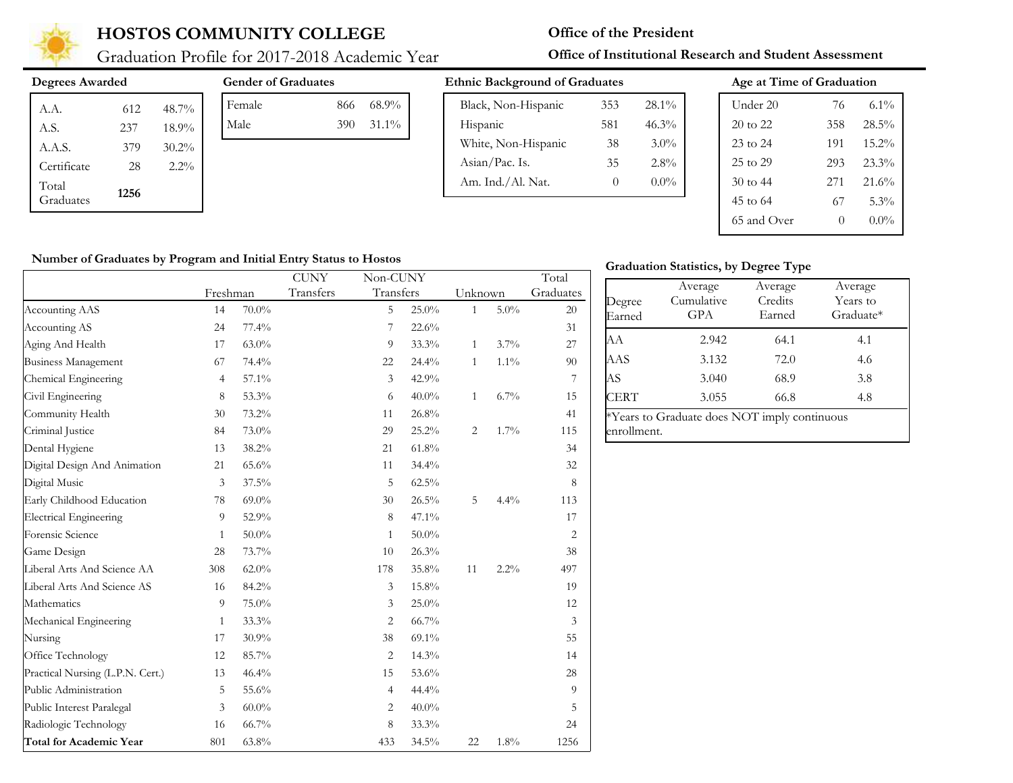

# **HOSTOS COMMUNITY COLLEGE Office of the President**

Graduation Profile for 2017-2018 Academic Year

**Office of Institutional Research and Student Assessment**

| <b>Degrees Awarded</b> |            |                   | <b>Gender of Graduates</b> |                                 |
|------------------------|------------|-------------------|----------------------------|---------------------------------|
| A.A.                   | 612        | 48.7%             | Female<br>Male             | 68.9%<br>866<br>$31.1\%$<br>390 |
| A.S.<br>A.A.S.         | 237<br>379 | 18.9%<br>$30.2\%$ |                            |                                 |
| Certificate            | 28         | $2.2\%$           |                            |                                 |
| Total<br>Graduates     | 1256       |                   |                            |                                 |

| <b>Ethnic Background of Graduates</b> |     |          |  |  |  |  |
|---------------------------------------|-----|----------|--|--|--|--|
| Black, Non-Hispanic                   | 353 | $28.1\%$ |  |  |  |  |
| Hispanic                              | 581 | 46.3%    |  |  |  |  |
| White, Non-Hispanic                   | 38  | 3.0%     |  |  |  |  |
| Asian/Pac. Is.                        | 35  | 2.8%     |  |  |  |  |
| Am. Ind./Al. Nat.                     |     | $0.0\%$  |  |  |  |  |

| Age at Time of Graduation |                  |          |  |  |  |  |
|---------------------------|------------------|----------|--|--|--|--|
| Under 20                  | 76               | $6.1\%$  |  |  |  |  |
| $20 \text{ to } 22$       | 358              | $28.5\%$ |  |  |  |  |
| $23 \text{ to } 24$       | 191              | $15.2\%$ |  |  |  |  |
| $25 \text{ to } 29$       | 293              | 23.3%    |  |  |  |  |
| $30 \text{ to } 44$       | 2.71             | 21.6%    |  |  |  |  |
| $45 \text{ to } 64$       | 67               | $5.3\%$  |  |  |  |  |
| 65 and Over               | $\left( \right)$ | $0.0\%$  |  |  |  |  |

### **Number of Graduates by Program and Initial Entry Status to Hostos**

|                                  |                |          | <b>CUNY</b> | Non-CUNY       |          |                |         | Total     |
|----------------------------------|----------------|----------|-------------|----------------|----------|----------------|---------|-----------|
|                                  | Freshman       |          | Transfers   | Transfers      |          | Unknown        |         | Graduates |
| Accounting AAS                   | 14             | 70.0%    |             | 5              | 25.0%    | $\mathbf{1}$   | 5.0%    | 20        |
| Accounting AS                    | 24             | 77.4%    |             | 7              | 22.6%    |                |         | 31        |
| Aging And Health                 | 17             | $63.0\%$ |             | $\overline{9}$ | 33.3%    | $\mathbf{1}$   | 3.7%    | 27        |
| <b>Business Management</b>       | 67             | 74.4%    |             | 22             | 24.4%    | $\mathbf{1}$   | $1.1\%$ | 90        |
| Chemical Engineering             | $\overline{4}$ | 57.1%    |             | 3              | 42.9%    |                |         | 7         |
| Civil Engineering                | 8              | 53.3%    |             | 6              | $40.0\%$ | $\mathbf{1}$   | 6.7%    | 15        |
| Community Health                 | 30             | 73.2%    |             | 11             | 26.8%    |                |         | 41        |
| Criminal Justice                 | 84             | 73.0%    |             | 29             | 25.2%    | $\overline{2}$ | 1.7%    | 115       |
| Dental Hygiene                   | 13             | 38.2%    |             | 21             | 61.8%    |                |         | 34        |
| Digital Design And Animation     | 21             | 65.6%    |             | 11             | 34.4%    |                |         | 32        |
| Digital Music                    | 3              | 37.5%    |             | 5              | 62.5%    |                |         | 8         |
| Early Childhood Education        | 78             | 69.0%    |             | 30             | 26.5%    | 5              | 4.4%    | 113       |
| <b>Electrical Engineering</b>    | 9              | 52.9%    |             | 8              | 47.1%    |                |         | 17        |
| Forensic Science                 | 1              | 50.0%    |             | $\mathbf{1}$   | $50.0\%$ |                |         | 2         |
| Game Design                      | 28             | 73.7%    |             | 10             | 26.3%    |                |         | 38        |
| Liberal Arts And Science AA      | 308            | $62.0\%$ |             | 178            | 35.8%    | 11             | 2.2%    | 497       |
| Liberal Arts And Science AS      | 16             | 84.2%    |             | 3              | 15.8%    |                |         | 19        |
| Mathematics                      | 9              | 75.0%    |             | 3              | 25.0%    |                |         | 12        |
| Mechanical Engineering           | $\mathbf{1}$   | 33.3%    |             | 2              | 66.7%    |                |         | 3         |
| Nursing                          | 17             | 30.9%    |             | 38             | 69.1%    |                |         | 55        |
| Office Technology                | 12             | 85.7%    |             | $\overline{2}$ | 14.3%    |                |         | 14        |
| Practical Nursing (L.P.N. Cert.) | 13             | 46.4%    |             | 15             | 53.6%    |                |         | 28        |
| Public Administration            | 5              | 55.6%    |             | $\overline{4}$ | 44.4%    |                |         | 9         |
| Public Interest Paralegal        | 3              | $60.0\%$ |             | 2              | $40.0\%$ |                |         | 5         |
| Radiologic Technology            | 16             | 66.7%    |             | 8              | 33.3%    |                |         | 24        |
| <b>Total for Academic Year</b>   | 801            | 63.8%    |             | 433            | 34.5%    | 22             | 1.8%    | 1256      |

| Degree<br>Earned | Average<br>Cumulative<br>GPA | Average<br>Credits<br>Earned | Average<br>Years to<br>Graduate* |
|------------------|------------------------------|------------------------------|----------------------------------|
| AА               | 2.942                        | 64.1                         | 4.1                              |
| <b>AAS</b>       | 3.132                        | 72.0                         | 4.6                              |
| AS               | 3.040                        | 68.9                         | 3.8                              |
| CERT             | 3.055                        | 66.8                         | 4.8                              |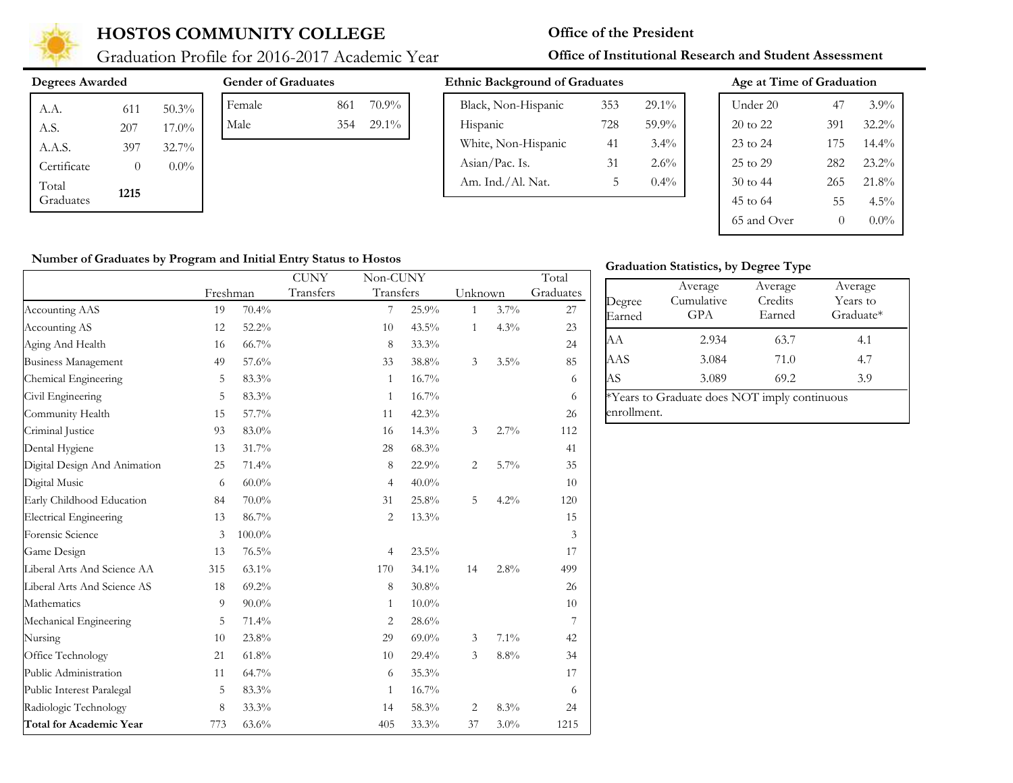

Total

Graduates **<sup>1215</sup>**

# **HOSTOS COMMUNITY COLLEGE Office of the President**

Graduation Profile for 2016-2017 Academic Year

**Office of Institutional Research and Student Assessment**

| <b>Degrees Awarded</b> |     |          | <b>Gender of Graduates</b> |     |          |
|------------------------|-----|----------|----------------------------|-----|----------|
| A.A.                   | 611 | $50.3\%$ | Female                     | 861 | 70.9%    |
| A.S.                   | 207 | $17.0\%$ | Male                       | 354 | $29.1\%$ |
| A.A.S.                 | 397 | 32.7%    |                            |     |          |
| Certificate            |     | $0.0\%$  |                            |     |          |

| <b>Ethnic Background of Graduates</b> |     |          |  |  |  |
|---------------------------------------|-----|----------|--|--|--|
| Black, Non-Hispanic                   | 353 | 29.1%    |  |  |  |
| Hispanic                              | 728 | $59.9\%$ |  |  |  |
| White, Non-Hispanic                   | 41  | $3.4\%$  |  |  |  |
| Asian/Pac. Is.                        | 31  | 2.6%     |  |  |  |
| Am. Ind./Al. Nat.                     | 5   | $0.4\%$  |  |  |  |

| Age at Time of Graduation |                  |          |  |  |  |  |
|---------------------------|------------------|----------|--|--|--|--|
| Under 20                  | 47               | $3.9\%$  |  |  |  |  |
| $20 \text{ to } 22$       | 391              | $32.2\%$ |  |  |  |  |
| $23 \text{ to } 24$       | 175              | $14.4\%$ |  |  |  |  |
| $25 \text{ to } 29$       | 282              | $23.2\%$ |  |  |  |  |
| $30 \text{ to } 44$       | 265              | $21.8\%$ |  |  |  |  |
| 45 to 64                  | 55               | $4.5\%$  |  |  |  |  |
| 65 and Over               | $\left( \right)$ | $0.0\%$  |  |  |  |  |

## **Number of Graduates by Program and Initial Entry Status to Hostos**

|                                |          |          | <b>CUNY</b> | Non-CUNY       |          |              |         | Total     |
|--------------------------------|----------|----------|-------------|----------------|----------|--------------|---------|-----------|
|                                | Freshman |          | Transfers   | Transfers      |          | Unknown      |         | Graduates |
| Accounting AAS                 | 19       | 70.4%    |             | 7              | 25.9%    | $\mathbf{1}$ | 3.7%    | 27        |
| Accounting AS                  | 12       | 52.2%    |             | 10             | 43.5%    | $\mathbf{1}$ | 4.3%    | 23        |
| Aging And Health               | 16       | 66.7%    |             | 8              | 33.3%    |              |         | 24        |
| <b>Business Management</b>     | 49       | 57.6%    |             | 33             | 38.8%    | 3            | 3.5%    | 85        |
| Chemical Engineering           | 5        | 83.3%    |             | 1              | 16.7%    |              |         | 6         |
| Civil Engineering              | 5        | 83.3%    |             | 1              | 16.7%    |              |         | 6         |
| Community Health               | 15       | 57.7%    |             | 11             | 42.3%    |              |         | 26        |
| Criminal Justice               | 93       | 83.0%    |             | 16             | 14.3%    | 3            | $2.7\%$ | 112       |
| Dental Hygiene                 | 13       | 31.7%    |             | 28             | 68.3%    |              |         | 41        |
| Digital Design And Animation   | 25       | 71.4%    |             | 8              | 22.9%    | 2            | 5.7%    | 35        |
| Digital Music                  | 6        | $60.0\%$ |             | $\overline{4}$ | $40.0\%$ |              |         | 10        |
| Early Childhood Education      | 84       | 70.0%    |             | 31             | 25.8%    | 5            | $4.2\%$ | 120       |
| <b>Electrical Engineering</b>  | 13       | 86.7%    |             | $\overline{c}$ | 13.3%    |              |         | 15        |
| Forensic Science               | 3        | 100.0%   |             |                |          |              |         | 3         |
| Game Design                    | 13       | 76.5%    |             | $\overline{4}$ | 23.5%    |              |         | 17        |
| Liberal Arts And Science AA    | 315      | $63.1\%$ |             | 170            | $34.1\%$ | 14           | 2.8%    | 499       |
| Liberal Arts And Science AS    | 18       | 69.2%    |             | 8              | 30.8%    |              |         | 26        |
| Mathematics                    | 9        | $90.0\%$ |             | 1              | $10.0\%$ |              |         | 10        |
| Mechanical Engineering         | 5        | 71.4%    |             | 2              | 28.6%    |              |         | 7         |
| Nursing                        | 10       | 23.8%    |             | 29             | $69.0\%$ | 3            | $7.1\%$ | 42        |
| Office Technology              | 21       | 61.8%    |             | 10             | 29.4%    | 3            | 8.8%    | 34        |
| Public Administration          | 11       | 64.7%    |             | 6              | 35.3%    |              |         | 17        |
| Public Interest Paralegal      | 5        | 83.3%    |             | 1              | 16.7%    |              |         | 6         |
| Radiologic Technology          | 8        | 33.3%    |             | 14             | 58.3%    | 2            | 8.3%    | 24        |
| <b>Total for Academic Year</b> | 773      | 63.6%    |             | 405            | 33.3%    | 37           | 3.0%    | 1215      |

| Degree<br>Earned | Average<br>Cumulative<br><b>GPA</b> | Average<br>Credits<br>Earned | Average<br>Years to<br>Graduate* |
|------------------|-------------------------------------|------------------------------|----------------------------------|
| AА               | 2.934                               | 63.7                         | 4.1                              |
| AAS              | 3.084                               | 71.0                         | 4.7                              |
| AS               | 3.089                               | 69.2                         | 3.9                              |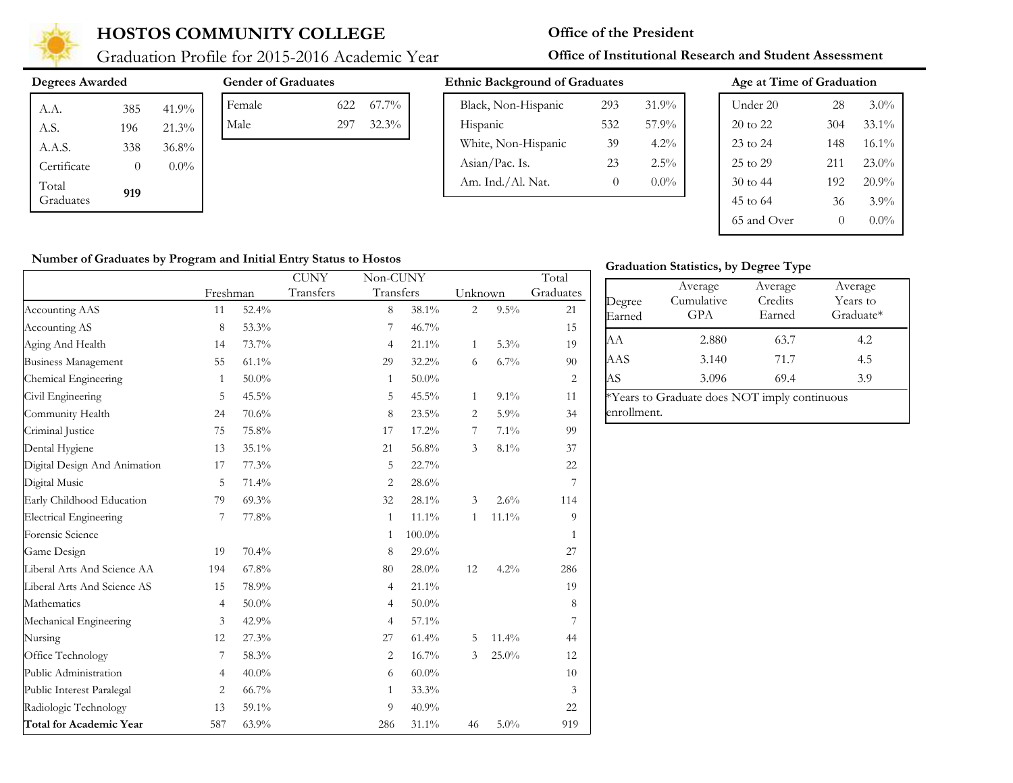

Graduates **<sup>919</sup>**

# **HOSTOS COMMUNITY COLLEGE Office of the President**

Graduation Profile for 2015-2016 Academic Year

**Office of Institutional Research and Student Assessment**

| <b>Degrees Awarded</b> |              |         | <b>Gender of Graduates</b> |     |          |
|------------------------|--------------|---------|----------------------------|-----|----------|
| A.A.                   | 385          | 41.9%   | Female                     | 622 | 67.7%    |
| A.S.                   | 196          | 21.3%   | Male                       | 297 | $32.3\%$ |
| A.A.S.                 | 338          | 36.8%   |                            |     |          |
| Certificate            |              | $0.0\%$ |                            |     |          |
| Total                  | $\mathbf{A}$ |         |                            |     |          |

| <b>Ethnic Background of Graduates</b> |     |         |  |  |  |  |
|---------------------------------------|-----|---------|--|--|--|--|
| Black, Non-Hispanic                   | 293 | 31.9%   |  |  |  |  |
| Hispanic                              | 532 | 57.9%   |  |  |  |  |
| White, Non-Hispanic                   | 39  | $4.2\%$ |  |  |  |  |
| Asian/Pac. Is.                        | 23  | $2.5\%$ |  |  |  |  |
| Am. Ind./Al. Nat.                     |     | $0.0\%$ |  |  |  |  |

| Age at Time of Graduation |                  |          |  |  |  |  |
|---------------------------|------------------|----------|--|--|--|--|
| Under 20                  | 28               | $3.0\%$  |  |  |  |  |
| $20 \text{ to } 22$       | 304              | $33.1\%$ |  |  |  |  |
| $23$ to $24$              | 148              | $16.1\%$ |  |  |  |  |
| $25 \text{ to } 29$       | 211              | $23.0\%$ |  |  |  |  |
| $30 \text{ to } 44$       | 192              | 20.9%    |  |  |  |  |
| $45 \text{ to } 64$       | 36               | $3.9\%$  |  |  |  |  |
| 65 and Over               | $\left( \right)$ | $0.0\%$  |  |  |  |  |

### **Number of Graduates by Program and Initial Entry Status to Hostos**

|                                |                |          | <b>CUNY</b> | Non-CUNY       |           |              |          | Total          |
|--------------------------------|----------------|----------|-------------|----------------|-----------|--------------|----------|----------------|
|                                | Freshman       |          | Transfers   | Transfers      |           | Unknown      |          | Graduates      |
| Accounting AAS                 | 11             | 52.4%    |             | 8              | 38.1%     | 2            | $9.5\%$  | 21             |
| Accounting AS                  | 8              | 53.3%    |             | 7              | 46.7%     |              |          | 15             |
| Aging And Health               | 14             | 73.7%    |             | 4              | 21.1%     | $\mathbf{1}$ | 5.3%     | 19             |
| <b>Business Management</b>     | 55             | 61.1%    |             | 29             | $32.2\%$  | 6            | 6.7%     | 90             |
| Chemical Engineering           | 1              | $50.0\%$ |             | 1              | $50.0\%$  |              |          | $\overline{2}$ |
| Civil Engineering              | 5              | 45.5%    |             | 5              | 45.5%     | $\mathbf{1}$ | $9.1\%$  | 11             |
| Community Health               | 24             | 70.6%    |             | 8              | 23.5%     | 2            | 5.9%     | 34             |
| Criminal Justice               | 75             | 75.8%    |             | 17             | 17.2%     | 7            | 7.1%     | 99             |
| Dental Hygiene                 | 13             | 35.1%    |             | 21             | 56.8%     | 3            | 8.1%     | 37             |
| Digital Design And Animation   | 17             | 77.3%    |             | 5              | 22.7%     |              |          | 22             |
| Digital Music                  | 5              | 71.4%    |             | $\overline{2}$ | 28.6%     |              |          | 7              |
| Early Childhood Education      | 79             | 69.3%    |             | 32             | 28.1%     | 3            | 2.6%     | 114            |
| <b>Electrical Engineering</b>  | 7              | 77.8%    |             | $\mathbf{1}$   | $11.1\%$  | $\mathbf{1}$ | 11.1%    | 9              |
| Forensic Science               |                |          |             | $\mathbf{1}$   | $100.0\%$ |              |          | $\mathbf{1}$   |
| Game Design                    | 19             | 70.4%    |             | 8              | 29.6%     |              |          | 27             |
| Liberal Arts And Science AA    | 194            | 67.8%    |             | 80             | 28.0%     | 12           | 4.2%     | 286            |
| Liberal Arts And Science AS    | 15             | 78.9%    |             | 4              | $21.1\%$  |              |          | 19             |
| Mathematics                    | $\overline{4}$ | $50.0\%$ |             | 4              | $50.0\%$  |              |          | 8              |
| Mechanical Engineering         | 3              | 42.9%    |             | $\overline{4}$ | 57.1%     |              |          | 7              |
| Nursing                        | 12             | 27.3%    |             | 27             | 61.4%     | 5            | $11.4\%$ | 44             |
| Office Technology              | 7              | 58.3%    |             | 2              | 16.7%     | 3            | 25.0%    | 12             |
| Public Administration          | $\overline{4}$ | $40.0\%$ |             | 6              | $60.0\%$  |              |          | 10             |
| Public Interest Paralegal      | 2              | 66.7%    |             | 1              | 33.3%     |              |          | 3              |
| Radiologic Technology          | 13             | 59.1%    |             | 9              | 40.9%     |              |          | 22             |
| <b>Total for Academic Year</b> | 587            | 63.9%    |             | 286            | $31.1\%$  | 46           | 5.0%     | 919            |

| Degree<br>Earned | Average<br>Cumulative<br><b>GPA</b> | Average<br>Credits<br>Earned | Average<br>Years to<br>Graduate* |
|------------------|-------------------------------------|------------------------------|----------------------------------|
| AA               | 2.880                               | 63.7                         | 4.2                              |
| AAS              | 3.140                               | 71.7                         | 4.5                              |
| AS               | 3.096                               | 69.4                         | 3.9                              |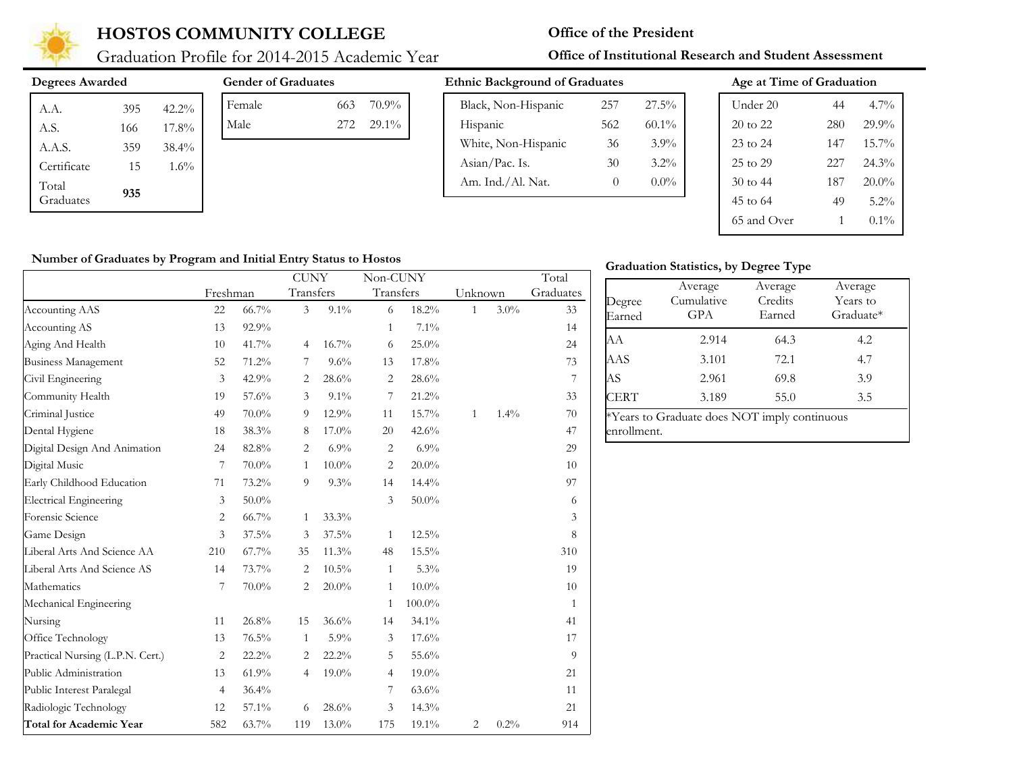

Total

Graduates **<sup>935</sup>**

# **HOSTOS COMMUNITY COLLEGE Office of the President**

Graduation Profile for 2014-2015 Academic Year

**Office of Institutional Research and Student Assessment**

| <b>Degrees Awarded</b> |     |          | <b>Gender of Graduates</b> |     |          |
|------------------------|-----|----------|----------------------------|-----|----------|
| A.A.                   | 395 | $42.2\%$ | Female                     | 663 | 70.9%    |
| A.S.                   | 166 | $17.8\%$ | Male                       | 272 | $29.1\%$ |
| A.A.S.                 | 359 | 38.4%    |                            |     |          |
| Certificate            | 15  | $1.6\%$  |                            |     |          |
|                        |     |          |                            |     |          |

| <b>Ethnic Background of Graduates</b> |     |       |  |  |  |  |
|---------------------------------------|-----|-------|--|--|--|--|
| Black, Non-Hispanic                   | 257 | 27.5% |  |  |  |  |
| Hispanic                              | 562 | 60.1% |  |  |  |  |
| White, Non-Hispanic                   | 36  | 3.9%  |  |  |  |  |
| Asian/Pac. Is.                        | 30  | 3.2%  |  |  |  |  |
| Am. Ind./Al. Nat.                     |     | 0.0%  |  |  |  |  |

| Age at Time of Graduation |     |          |  |  |  |  |  |
|---------------------------|-----|----------|--|--|--|--|--|
| Under 20                  | 44  | $4.7\%$  |  |  |  |  |  |
| $20 \text{ to } 22$       | 280 | $29.9\%$ |  |  |  |  |  |
| $23$ to $24$              | 147 | $15.7\%$ |  |  |  |  |  |
| $25 \text{ to } 29$       | 227 | $24.3\%$ |  |  |  |  |  |
| 30 to $44$                | 187 | $20.0\%$ |  |  |  |  |  |
| $45 \text{ to } 64$       | 49  | $5.2\%$  |  |  |  |  |  |
| 65 and Over               | 1   | $0.1\%$  |  |  |  |  |  |

### **Number of Graduates by Program and Initial Entry Status to Hostos**

|                                  |                |          | <b>CUNY</b>  |          | Non-CUNY       |          |              |         | Total        |
|----------------------------------|----------------|----------|--------------|----------|----------------|----------|--------------|---------|--------------|
|                                  | Freshman       |          | Transfers    |          | Transfers      |          | Unknown      |         | Graduates    |
| Accounting AAS                   | 22             | $66.7\%$ | 3            | $9.1\%$  | 6              | 18.2%    | $\mathbf{1}$ | $3.0\%$ | 33           |
| Accounting AS                    | 13             | 92.9%    |              |          | 1              | 7.1%     |              |         | 14           |
| Aging And Health                 | 10             | 41.7%    | 4            | 16.7%    | 6              | 25.0%    |              |         | 24           |
| <b>Business Management</b>       | 52             | 71.2%    | 7            | 9.6%     | 13             | 17.8%    |              |         | 73           |
| Civil Engineering                | $\mathfrak{Z}$ | 42.9%    | 2            | 28.6%    | 2              | 28.6%    |              |         | 7            |
| Community Health                 | 19             | 57.6%    | 3            | $9.1\%$  | 7              | 21.2%    |              |         | 33           |
| Criminal Justice                 | 49             | 70.0%    | 9            | 12.9%    | 11             | 15.7%    | 1            | $1.4\%$ | 70           |
| Dental Hygiene                   | 18             | 38.3%    | 8            | $17.0\%$ | 20             | 42.6%    |              |         | 47           |
| Digital Design And Animation     | 24             | 82.8%    | 2            | 6.9%     | 2              | 6.9%     |              |         | 29           |
| Digital Music                    | 7              | 70.0%    | 1            | $10.0\%$ | 2              | $20.0\%$ |              |         | 10           |
| Early Childhood Education        | 71             | 73.2%    | 9            | 9.3%     | 14             | 14.4%    |              |         | 97           |
| <b>Electrical Engineering</b>    | 3              | 50.0%    |              |          | 3              | $50.0\%$ |              |         | 6            |
| Forensic Science                 | 2              | 66.7%    | $\mathbf{1}$ | 33.3%    |                |          |              |         | 3            |
| Game Design                      | $\overline{3}$ | 37.5%    | 3            | 37.5%    | $\mathbf{1}$   | 12.5%    |              |         | 8            |
| Liberal Arts And Science AA      | 210            | 67.7%    | 35           | 11.3%    | 48             | 15.5%    |              |         | 310          |
| Liberal Arts And Science AS      | 14             | 73.7%    | 2            | $10.5\%$ | $\mathbf{1}$   | 5.3%     |              |         | 19           |
| Mathematics                      | 7              | $70.0\%$ | 2            | $20.0\%$ | 1              | $10.0\%$ |              |         | 10           |
| Mechanical Engineering           |                |          |              |          | 1              | 100.0%   |              |         | $\mathbf{1}$ |
| Nursing                          | 11             | 26.8%    | 15           | 36.6%    | 14             | 34.1%    |              |         | 41           |
| Office Technology                | 13             | 76.5%    | $\mathbf{1}$ | 5.9%     | 3              | 17.6%    |              |         | 17           |
| Practical Nursing (L.P.N. Cert.) | $\overline{2}$ | 22.2%    | 2            | $22.2\%$ | 5              | 55.6%    |              |         | 9            |
| Public Administration            | 13             | 61.9%    | 4            | $19.0\%$ | $\overline{4}$ | 19.0%    |              |         | 21           |
| Public Interest Paralegal        | $\overline{4}$ | 36.4%    |              |          | 7              | 63.6%    |              |         | 11           |
| Radiologic Technology            | 12             | 57.1%    | 6            | 28.6%    | 3              | 14.3%    |              |         | 21           |
| <b>Total for Academic Year</b>   | 582            | 63.7%    | 119          | $13.0\%$ | 175            | 19.1%    | 2            | 0.2%    | 914          |

## **Graduation Statistics, by Degree Type**

| Degree<br>Earned | Average<br>Cumulative<br>GPA | Average<br>Credits<br>Earned | Average<br>Years to<br>Graduate* |
|------------------|------------------------------|------------------------------|----------------------------------|
| AA               | 2.914                        | 64.3                         | 4.2                              |
| AAS              | 3.101                        | 72.1                         | 4.7                              |
| AS               | 2.961                        | 69.8                         | 3.9                              |
| CERT             | 3.189                        | 55.0                         | 3.5                              |

enrollment.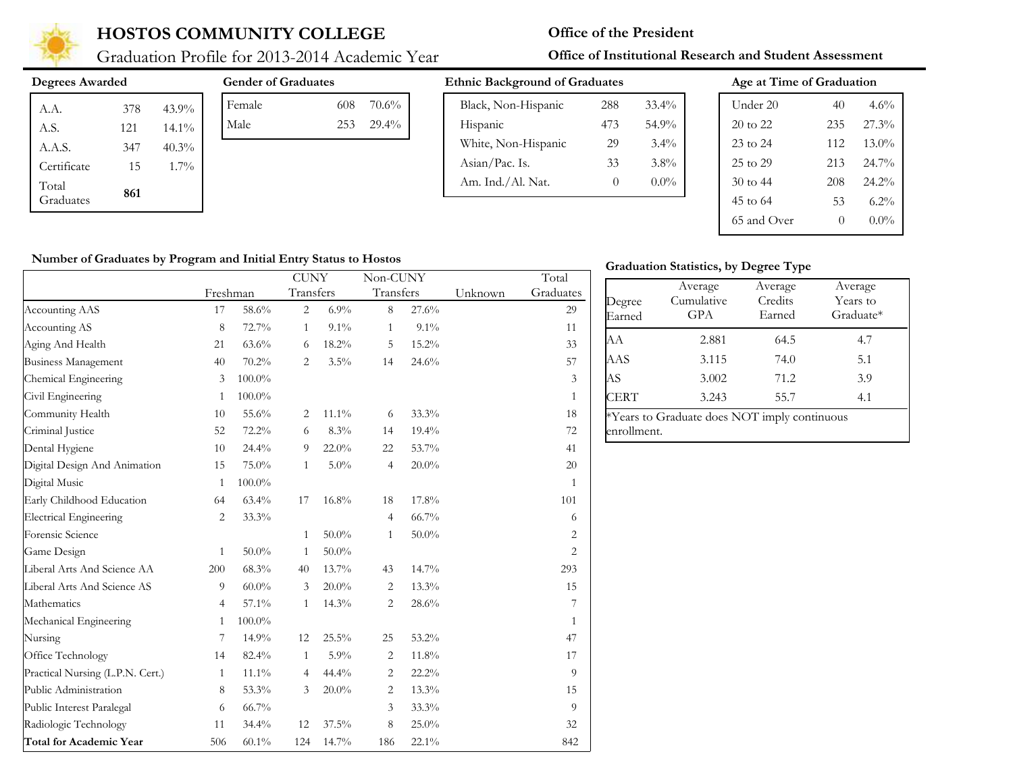

Graduation Profile for 2013-2014 Academic Year

**Office of Institutional Research and Student Assessment**

| <b>Degrees Awarded</b> |     |         | Gend |
|------------------------|-----|---------|------|
| A.A.                   | 378 | 43.9%   | Fema |
| A.S.                   | 121 | 14.1%   | Male |
| A.A.S.                 | 347 | 40.3%   |      |
| Certificate            | 15  | $1.7\%$ |      |
| Total<br>Graduates     | 861 |         |      |

| Female | 608 70.6%      |
|--------|----------------|
| Male   | $253$ $29.4\%$ |

| <b>Ethnic Background of Graduates</b> |     |          |  |  |  |  |
|---------------------------------------|-----|----------|--|--|--|--|
| Black, Non-Hispanic                   | 288 | $33.4\%$ |  |  |  |  |
| Hispanic                              | 473 | 54.9%    |  |  |  |  |
| White, Non-Hispanic                   | 29  | $3.4\%$  |  |  |  |  |
| Asian/Pac. Is.                        | 33  | $3.8\%$  |  |  |  |  |
| Am. Ind./Al. Nat.                     |     | $0.0\%$  |  |  |  |  |

| Age at Time of Graduation |     |          |  |  |  |  |  |
|---------------------------|-----|----------|--|--|--|--|--|
| Under 20                  | 40  | 4.6%     |  |  |  |  |  |
| $20 \text{ to } 22$       | 235 | $27.3\%$ |  |  |  |  |  |
| $23 \text{ to } 24$       | 112 | $13.0\%$ |  |  |  |  |  |
| $25 \text{ to } 29$       | 213 | $24.7\%$ |  |  |  |  |  |
| 30 to $44$                | 208 | $24.2\%$ |  |  |  |  |  |
| 45 to 64                  | 53  | $6.2\%$  |  |  |  |  |  |
| 65 and Over               |     | $0.0\%$  |  |  |  |  |  |

### **Number of Graduates by Program and Initial Entry Status to Hostos**

|                                  |                |          | <b>CUNY</b>    |          | Non-CUNY                 |          |         | Total          |
|----------------------------------|----------------|----------|----------------|----------|--------------------------|----------|---------|----------------|
|                                  |                | Freshman | Transfers      |          | Transfers                |          | Unknown | Graduates      |
| Accounting AAS                   | 17             | 58.6%    | $\overline{2}$ | 6.9%     | 8                        | 27.6%    |         | 29             |
| Accounting AS                    | 8              | 72.7%    | $\mathbf{1}$   | $9.1\%$  | $\mathbf{1}$             | $9.1\%$  |         | 11             |
| Aging And Health                 | 21             | 63.6%    | 6              | 18.2%    | 5                        | 15.2%    |         | 33             |
| Business Management              | 40             | 70.2%    | $\overline{c}$ | 3.5%     | 14                       | 24.6%    |         | 57             |
| Chemical Engineering             | 3              | 100.0%   |                |          |                          |          |         | $\mathfrak{Z}$ |
| Civil Engineering                | 1              | 100.0%   |                |          |                          |          |         | $\mathbf{1}$   |
| Community Health                 | 10             | 55.6%    | 2              | $11.1\%$ | 6                        | 33.3%    |         | 18             |
| Criminal Justice                 | 52             | 72.2%    | 6              | 8.3%     | 14                       | 19.4%    |         | 72             |
| Dental Hygiene                   | 10             | 24.4%    | 9              | 22.0%    | 22                       | 53.7%    |         | 41             |
| Digital Design And Animation     | 15             | 75.0%    | $\mathbf{1}$   | $5.0\%$  | $\overline{\mathcal{L}}$ | $20.0\%$ |         | 20             |
| Digital Music                    | $\mathbf{1}$   | 100.0%   |                |          |                          |          |         | $\mathbf{1}$   |
| Early Childhood Education        | 64             | 63.4%    | 17             | $16.8\%$ | 18                       | 17.8%    |         | 101            |
| Electrical Engineering           | $\overline{2}$ | 33.3%    |                |          | 4                        | 66.7%    |         | 6              |
| Forensic Science                 |                |          | 1              | $50.0\%$ | $\mathbf{1}$             | $50.0\%$ |         | 2              |
| Game Design                      | $\mathbf{1}$   | $50.0\%$ | $\mathbf{1}$   | $50.0\%$ |                          |          |         | $\overline{c}$ |
| Liberal Arts And Science AA      | 200            | 68.3%    | 40             | 13.7%    | 43                       | 14.7%    |         | 293            |
| Liberal Arts And Science AS      | 9              | $60.0\%$ | 3              | $20.0\%$ | 2                        | 13.3%    |         | 15             |
| Mathematics                      | 4              | 57.1%    | $\mathbf{1}$   | 14.3%    | 2                        | 28.6%    |         | 7              |
| Mechanical Engineering           | $\mathbf{1}$   | 100.0%   |                |          |                          |          |         | $\mathbf{1}$   |
| Nursing                          | 7              | 14.9%    | 12             | 25.5%    | 25                       | 53.2%    |         | 47             |
| Office Technology                | 14             | 82.4%    | $\mathbf{1}$   | 5.9%     | 2                        | 11.8%    |         | 17             |
| Practical Nursing (L.P.N. Cert.) | $\mathbf{1}$   | $11.1\%$ | 4              | 44.4%    | 2                        | 22.2%    |         | 9              |
| Public Administration            | 8              | 53.3%    | 3              | $20.0\%$ | 2                        | 13.3%    |         | 15             |
| Public Interest Paralegal        | 6              | 66.7%    |                |          | 3                        | 33.3%    |         | 9              |
| Radiologic Technology            | 11             | 34.4%    | 12             | 37.5%    | 8                        | 25.0%    |         | 32             |
| <b>Total for Academic Year</b>   | 506            | $60.1\%$ | 124            | 14.7%    | 186                      | 22.1%    |         | 842            |

| Degree<br>Earned | Average<br>Cumulative<br>GPA | Average<br>Credits<br>Earned | Average<br>Years to<br>Graduate* |
|------------------|------------------------------|------------------------------|----------------------------------|
| AА               | 2.881                        | 64.5                         | 4.7                              |
| AAS              | 3.115                        | 74.0                         | 5.1                              |
| AS               | 3.002                        | 71.2                         | 3.9                              |
| CERT             | 3.243                        | 55.7                         | 4.1                              |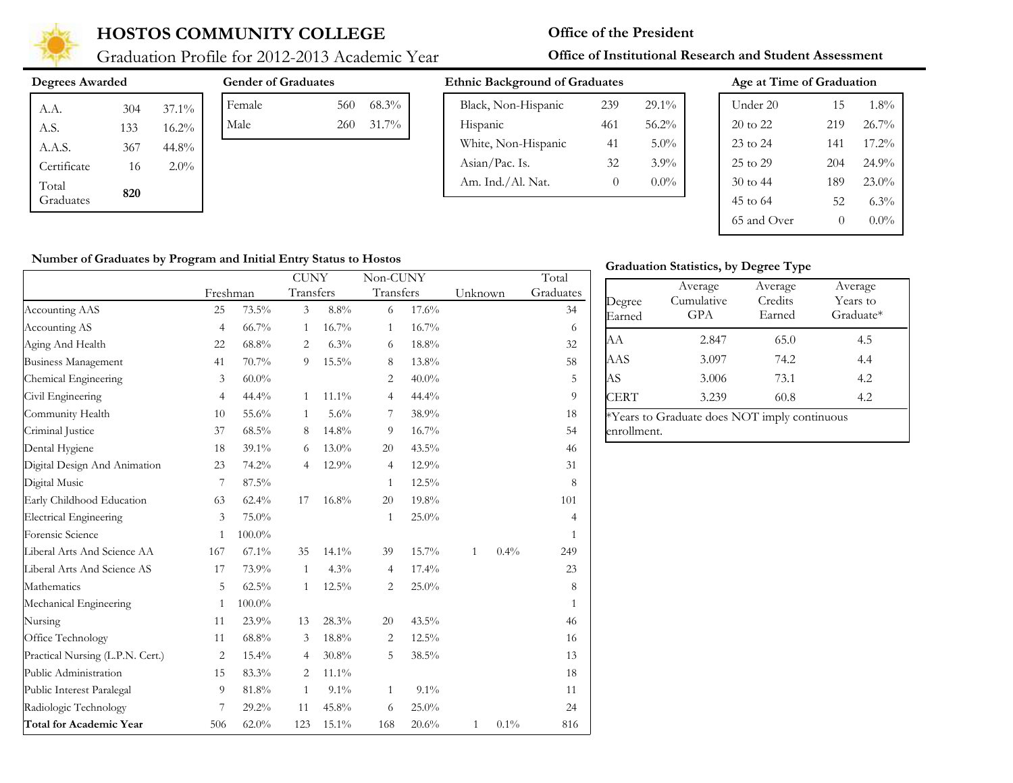

Total

Graduates **<sup>820</sup>**

# **HOSTOS COMMUNITY COLLEGE Office of the President**

Graduation Profile for 2012-2013 Academic Year

**Office of Institutional Research and Student Assessment**

| <b>Degrees Awarded</b> |     |          | <b>Gender of Graduates</b> |                 |
|------------------------|-----|----------|----------------------------|-----------------|
| A.A.                   | 304 | $37.1\%$ | Female                     | 68.3%<br>560    |
| A.S.                   | 133 | $16.2\%$ | Male                       | $31.7\%$<br>260 |
| A.A.S.                 | 367 | 44.8%    |                            |                 |
| Certificate            | 16  | $2.0\%$  |                            |                 |
| $\sim$                 |     |          |                            |                 |

| <b>Ethnic Background of Graduates</b> |     |          |  |  |  |  |
|---------------------------------------|-----|----------|--|--|--|--|
| Black, Non-Hispanic                   | 239 | $29.1\%$ |  |  |  |  |
| Hispanic                              | 461 | $56.2\%$ |  |  |  |  |
| White, Non-Hispanic                   | 41  | $5.0\%$  |  |  |  |  |
| Asian/Pac. Is.                        | 32  | $3.9\%$  |  |  |  |  |
| Am. Ind./Al. Nat.                     |     | $0.0\%$  |  |  |  |  |

| Age at Time of Graduation |                   |          |
|---------------------------|-------------------|----------|
| Under 20                  | 15                | $1.8\%$  |
| $20 \text{ to } 22$       | 219               | $26.7\%$ |
| $23 \text{ to } 24$       | 141               | $17.2\%$ |
| $25 \text{ to } 29$       | 204               | $24.9\%$ |
| 30 to $44$                | 189               | $23.0\%$ |
| $45 \text{ to } 64$       | 52                | $6.3\%$  |
| 65 and Over               | $\mathbf{\Omega}$ | $0.0\%$  |

### **Number of Graduates by Program and Initial Entry Status to Hostos**

|                                  |              |          | <b>CUNY</b>    |          | Non-CUNY       |          |              |         | Total        |
|----------------------------------|--------------|----------|----------------|----------|----------------|----------|--------------|---------|--------------|
|                                  | Freshman     |          | Transfers      |          | Transfers      |          | Unknown      |         | Graduates    |
| <b>Accounting AAS</b>            | 25           | 73.5%    | $\mathfrak{Z}$ | 8.8%     | 6              | 17.6%    |              |         | 34           |
| Accounting AS                    | 4            | 66.7%    | $\mathbf{1}$   | 16.7%    | $\mathbf{1}$   | 16.7%    |              |         | 6            |
| Aging And Health                 | 22           | 68.8%    | 2              | 6.3%     | 6              | 18.8%    |              |         | 32           |
| <b>Business Management</b>       | 41           | 70.7%    | 9              | 15.5%    | 8              | 13.8%    |              |         | 58           |
| Chemical Engineering             | 3            | $60.0\%$ |                |          | $\overline{2}$ | $40.0\%$ |              |         | 5            |
| Civil Engineering                | 4            | 44.4%    | $\mathbf{1}$   | $11.1\%$ | $\overline{4}$ | 44.4%    |              |         | 9            |
| Community Health                 | 10           | 55.6%    | 1              | 5.6%     | 7              | 38.9%    |              |         | 18           |
| Criminal Justice                 | 37           | 68.5%    | 8              | 14.8%    | 9              | 16.7%    |              |         | 54           |
| Dental Hygiene                   | 18           | 39.1%    | 6              | 13.0%    | 20             | 43.5%    |              |         | 46           |
| Digital Design And Animation     | 23           | 74.2%    | 4              | 12.9%    | $\overline{4}$ | 12.9%    |              |         | 31           |
| Digital Music                    | 7            | 87.5%    |                |          | 1              | $12.5\%$ |              |         | 8            |
| Early Childhood Education        | 63           | 62.4%    | 17             | 16.8%    | 20             | 19.8%    |              |         | 101          |
| <b>Electrical Engineering</b>    | 3            | 75.0%    |                |          | $\mathbf{1}$   | 25.0%    |              |         | 4            |
| Forensic Science                 | 1            | 100.0%   |                |          |                |          |              |         | $\mathbf{1}$ |
| Liberal Arts And Science AA      | 167          | 67.1%    | 35             | 14.1%    | 39             | 15.7%    | $\mathbf{1}$ | 0.4%    | 249          |
| Liberal Arts And Science AS      | 17           | 73.9%    | 1              | 4.3%     | $\overline{4}$ | 17.4%    |              |         | 23           |
| Mathematics                      | 5            | $62.5\%$ | $\mathbf{1}$   | 12.5%    | $\overline{2}$ | 25.0%    |              |         | 8            |
| Mechanical Engineering           | $\mathbf{1}$ | 100.0%   |                |          |                |          |              |         | $\mathbf{1}$ |
| Nursing                          | 11           | 23.9%    | 13             | 28.3%    | 20             | $43.5\%$ |              |         | 46           |
| Office Technology                | 11           | 68.8%    | 3              | 18.8%    | 2              | 12.5%    |              |         | 16           |
| Practical Nursing (L.P.N. Cert.) | 2            | 15.4%    | $\overline{4}$ | 30.8%    | 5              | 38.5%    |              |         | 13           |
| Public Administration            | 15           | 83.3%    | 2              | $11.1\%$ |                |          |              |         | 18           |
| Public Interest Paralegal        | 9            | $81.8\%$ | $\mathbf{1}$   | $9.1\%$  | $\mathbf{1}$   | $9.1\%$  |              |         | 11           |
| Radiologic Technology            | 7            | 29.2%    | 11             | 45.8%    | 6              | 25.0%    |              |         | 24           |
| <b>Total for Academic Year</b>   | 506          | $62.0\%$ | 123            | 15.1%    | 168            | 20.6%    | $\mathbf{1}$ | $0.1\%$ | 816          |

| Degree<br>Earned | Average<br>Cumulative<br>GPA | Average<br>Credits<br>Earned | Average<br>Years to<br>Graduate* |
|------------------|------------------------------|------------------------------|----------------------------------|
| AА               | 2.847                        | 65.0                         | 4.5                              |
| AAS              | 3.097                        | 74.2                         | 4.4                              |
| AS               | 3.006                        | 73.1                         | 4.2                              |
| CERT             | 3.239                        | 60.8                         | 4.2                              |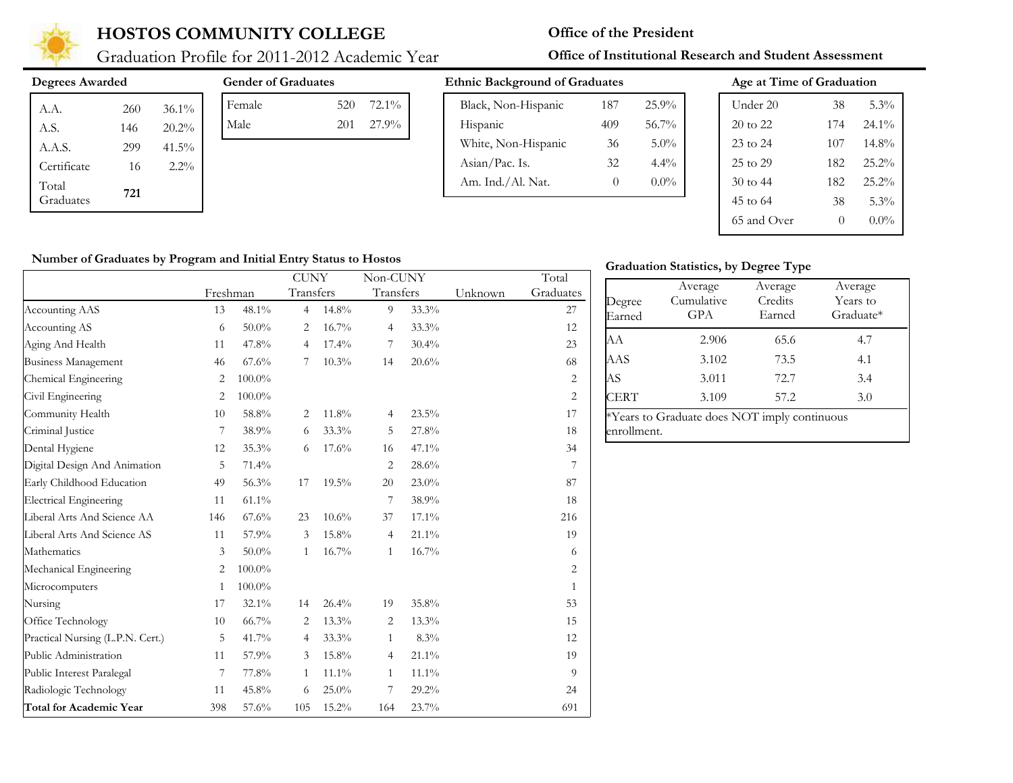

# **HOSTOS COMMUNITY COLLEGE Office of the President**

Graduation Profile for 2011-2012 Academic Year

**Office of Institutional Research and Student Assessment**

| <b>Degrees Awarded</b> |            |                      | <b>Gender of Graduates</b> |            |                |
|------------------------|------------|----------------------|----------------------------|------------|----------------|
| A.A.<br>A.S.           | 260<br>146 | $36.1\%$<br>$20.2\%$ | Female<br>Male             | 520<br>201 | 72.1%<br>27.9% |
| A.A.S.                 | 299        | 41.5%                |                            |            |                |
| Certificate            | 16         | $2.2\%$              |                            |            |                |
| Total<br>Graduates     | 721        |                      |                            |            |                |

| <b>Ethnic Background of Graduates</b> |                  |          |  |  |  |
|---------------------------------------|------------------|----------|--|--|--|
| Black, Non-Hispanic                   | 187              | $25.9\%$ |  |  |  |
| Hispanic                              | 409              | 56.7%    |  |  |  |
| White, Non-Hispanic                   | 36               | $5.0\%$  |  |  |  |
| Asian/Pac. Is.                        | 32               | $4.4\%$  |  |  |  |
| Am. Ind./Al. Nat.                     | $\left( \right)$ | $0.0\%$  |  |  |  |

| Age at Time of Graduation |                  |          |
|---------------------------|------------------|----------|
| Under 20                  | 38               | $5.3\%$  |
| $20 \text{ to } 22$       | 174              | $24.1\%$ |
| $23$ to $24$              | 107              | $14.8\%$ |
| $25 \text{ to } 29$       | 182              | $25.2\%$ |
| 30 to $44$                | 182              | $25.2\%$ |
| 45 to 64                  | 38               | $5.3\%$  |
| 65 and Over               | $\left( \right)$ | $0.0\%$  |

### **Number of Graduates by Program and Initial Entry Status to Hostos**

|                                  |              |           | <b>CUNY</b>    |          | Non-CUNY       |          |         | Total          |
|----------------------------------|--------------|-----------|----------------|----------|----------------|----------|---------|----------------|
|                                  | Freshman     |           | Transfers      |          | Transfers      |          | Unknown | Graduates      |
| Accounting AAS                   | 13           | 48.1%     | $\overline{4}$ | 14.8%    | 9              | 33.3%    |         | 27             |
| Accounting AS                    | 6            | 50.0%     | 2              | 16.7%    | 4              | 33.3%    |         | 12             |
| Aging And Health                 | 11           | 47.8%     | 4              | $17.4\%$ | 7              | $30.4\%$ |         | 23             |
| <b>Business Management</b>       | 46           | 67.6%     | 7              | 10.3%    | 14             | 20.6%    |         | 68             |
| Chemical Engineering             | 2            | 100.0%    |                |          |                |          |         | $\mathbf{2}$   |
| Civil Engineering                | 2            | $100.0\%$ |                |          |                |          |         | 2              |
| Community Health                 | 10           | 58.8%     | 2              | 11.8%    | $\overline{4}$ | 23.5%    |         | 17             |
| Criminal Justice                 | 7            | 38.9%     | 6              | 33.3%    | 5              | 27.8%    |         | 18             |
| Dental Hygiene                   | 12           | 35.3%     | 6              | 17.6%    | 16             | 47.1%    |         | 34             |
| Digital Design And Animation     | 5            | 71.4%     |                |          | $\overline{2}$ | 28.6%    |         | 7              |
| Early Childhood Education        | 49           | 56.3%     | 17             | 19.5%    | 20             | $23.0\%$ |         | 87             |
| <b>Electrical Engineering</b>    | 11           | $61.1\%$  |                |          | 7              | 38.9%    |         | 18             |
| Liberal Arts And Science AA      | 146          | 67.6%     | 23             | 10.6%    | 37             | 17.1%    |         | 216            |
| Liberal Arts And Science AS      | 11           | 57.9%     | 3              | 15.8%    | $\overline{4}$ | $21.1\%$ |         | 19             |
| Mathematics                      | 3            | $50.0\%$  | $\mathbf{1}$   | 16.7%    | $\mathbf{1}$   | $16.7\%$ |         | 6              |
| Mechanical Engineering           | 2            | $100.0\%$ |                |          |                |          |         | $\overline{c}$ |
| Microcomputers                   | $\mathbf{1}$ | 100.0%    |                |          |                |          |         | $\mathbf{1}$   |
| Nursing                          | 17           | $32.1\%$  | 14             | 26.4%    | 19             | 35.8%    |         | 53             |
| Office Technology                | 10           | 66.7%     | 2              | $13.3\%$ | 2              | $13.3\%$ |         | 15             |
| Practical Nursing (L.P.N. Cert.) | 5            | 41.7%     | 4              | 33.3%    | $\mathbf{1}$   | 8.3%     |         | 12             |
| Public Administration            | 11           | 57.9%     | 3              | 15.8%    | $\overline{4}$ | $21.1\%$ |         | 19             |
| Public Interest Paralegal        | 7            | 77.8%     | $\mathbf{1}$   | $11.1\%$ | $\mathbf{1}$   | $11.1\%$ |         | 9              |
| Radiologic Technology            | 11           | 45.8%     | 6              | $25.0\%$ | 7              | $29.2\%$ |         | 24             |
| <b>Total for Academic Year</b>   | 398          | 57.6%     | 105            | 15.2%    | 164            | 23.7%    |         | 691            |

| Degree<br>Earned | Average<br>Cumulative<br>GPA | Average<br>Credits<br>Earned | Average<br>Years to<br>Graduate* |
|------------------|------------------------------|------------------------------|----------------------------------|
| АA               | 2.906                        | 65.6                         | 4.7                              |
| AAS              | 3.102                        | 73.5                         | 4.1                              |
| AS               | 3.011                        | 72.7                         | 3.4                              |
| CERT             | 3.109                        | 57.2                         | 3.0                              |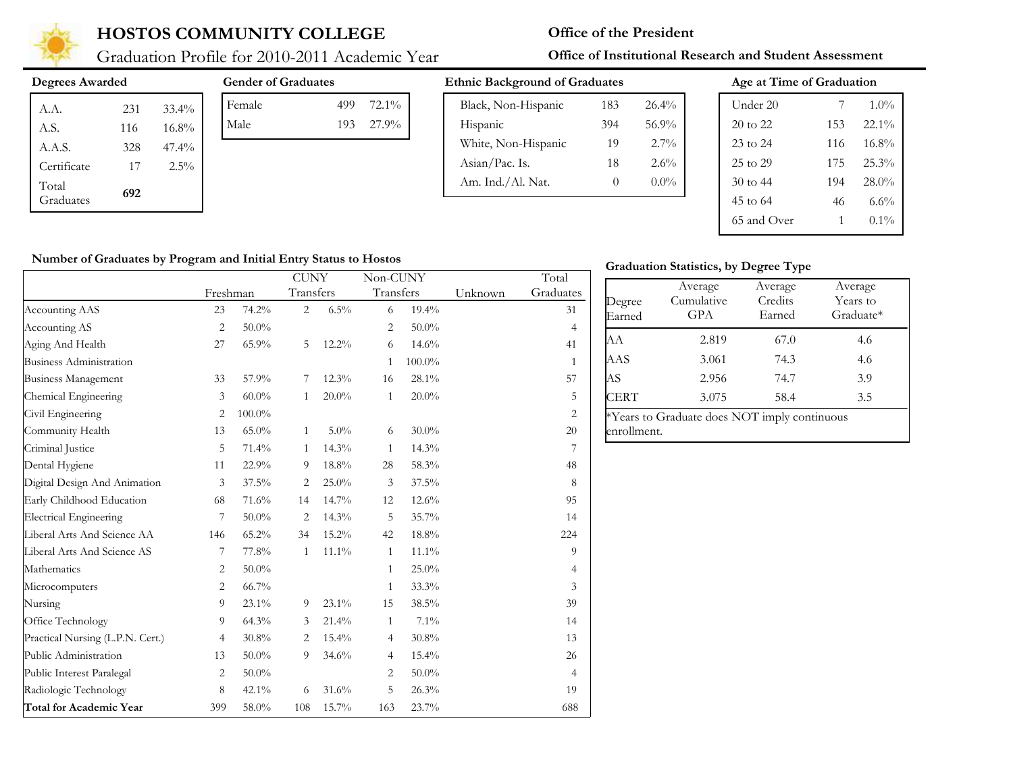

# **HOSTOS COMMUNITY COLLEGE Office of the President**

Graduation Profile for 2010-2011 Academic Year

**Office of Institutional Research and Student Assessment**

| <b>Degrees Awarded</b> |            |                   | <b>Gender of Graduates</b> |            |                      |
|------------------------|------------|-------------------|----------------------------|------------|----------------------|
| A.A.<br>A.S.           | 231<br>116 | $33.4\%$<br>16.8% | Female<br>Male             | 499<br>193 | $72.1\%$<br>$27.9\%$ |
| A.A.S.                 | 328        | 47.4%             |                            |            |                      |
| Certificate            | 17         | $2.5\%$           |                            |            |                      |
| Total<br>Graduates     | 692        |                   |                            |            |                      |

| <b>Ethnic Background of Graduates</b> |                  |          |  |  |
|---------------------------------------|------------------|----------|--|--|
| Black, Non-Hispanic                   | 183              | $26.4\%$ |  |  |
| Hispanic                              | 394              | 56.9%    |  |  |
| White, Non-Hispanic                   | 19               | $2.7\%$  |  |  |
| Asian/Pac. Is.                        | 18               | 2.6%     |  |  |
| Am. Ind./Al. Nat.                     | $\left( \right)$ | $0.0\%$  |  |  |

| Age at Time of Graduation |     |          |  |  |  |
|---------------------------|-----|----------|--|--|--|
| Under 20                  | 7   | $1.0\%$  |  |  |  |
| $20 \text{ to } 22$       | 153 | $22.1\%$ |  |  |  |
| $23 \text{ to } 24$       | 116 | $16.8\%$ |  |  |  |
| $25 \text{ to } 29$       | 175 | 25.3%    |  |  |  |
| $30 \text{ to } 44$       | 194 | $28.0\%$ |  |  |  |
| $45 \text{ to } 64$       | 46  | 6.6%     |  |  |  |
| 65 and Over               | 1   | $0.1\%$  |  |  |  |

### **Number of Graduates by Program and Initial Entry Status to Hostos**

|                                  |          |          | <b>CUNY</b>    |          | Non-CUNY       |          |         | Total          |
|----------------------------------|----------|----------|----------------|----------|----------------|----------|---------|----------------|
|                                  | Freshman |          | Transfers      |          | Transfers      |          | Unknown | Graduates      |
| Accounting AAS                   | 23       | 74.2%    | $\overline{2}$ | 6.5%     | 6              | 19.4%    |         | 31             |
| Accounting AS                    | 2        | $50.0\%$ |                |          | 2              | $50.0\%$ |         | $\overline{4}$ |
| Aging And Health                 | 27       | 65.9%    | 5              | $12.2\%$ | 6              | 14.6%    |         | 41             |
| Business Administration          |          |          |                |          | 1              | 100.0%   |         | 1              |
| <b>Business Management</b>       | 33       | 57.9%    | 7              | $12.3\%$ | 16             | 28.1%    |         | 57             |
| Chemical Engineering             | 3        | $60.0\%$ | $\mathbf{1}$   | $20.0\%$ | $\mathbf{1}$   | $20.0\%$ |         | 5              |
| Civil Engineering                | 2        | 100.0%   |                |          |                |          |         | 2              |
| Community Health                 | 13       | $65.0\%$ | 1              | $5.0\%$  | 6              | $30.0\%$ |         | 20             |
| Criminal Justice                 | 5        | 71.4%    | $\mathbf{1}$   | $14.3\%$ | $\mathbf{1}$   | 14.3%    |         | 7              |
| Dental Hygiene                   | 11       | 22.9%    | 9              | 18.8%    | 28             | 58.3%    |         | 48             |
| Digital Design And Animation     | 3        | $37.5\%$ | 2              | $25.0\%$ | $\mathfrak{Z}$ | $37.5\%$ |         | 8              |
| Early Childhood Education        | 68       | 71.6%    | 14             | 14.7%    | 12             | 12.6%    |         | 95             |
| <b>Electrical Engineering</b>    | 7        | $50.0\%$ | 2              | $14.3\%$ | 5              | 35.7%    |         | 14             |
| Liberal Arts And Science AA      | 146      | 65.2%    | 34             | $15.2\%$ | 42             | 18.8%    |         | 224            |
| Liberal Arts And Science AS      | 7        | 77.8%    | $\mathbf{1}$   | $11.1\%$ | 1              | $11.1\%$ |         | 9              |
| Mathematics                      | 2        | $50.0\%$ |                |          | $\mathbf{1}$   | 25.0%    |         | 4              |
| Microcomputers                   | 2        | 66.7%    |                |          | $\mathbf{1}$   | 33.3%    |         | 3              |
| Nursing                          | 9        | $23.1\%$ | 9              | $23.1\%$ | 15             | 38.5%    |         | 39             |
| Office Technology                | 9        | 64.3%    | 3              | 21.4%    | 1              | $7.1\%$  |         | 14             |
| Practical Nursing (L.P.N. Cert.) | 4        | 30.8%    | 2              | $15.4\%$ | 4              | 30.8%    |         | 13             |
| Public Administration            | 13       | $50.0\%$ | 9              | 34.6%    | $\overline{4}$ | 15.4%    |         | 26             |
| Public Interest Paralegal        | 2        | $50.0\%$ |                |          | $\overline{2}$ | $50.0\%$ |         | $\overline{4}$ |
| Radiologic Technology            | 8        | 42.1%    | 6              | 31.6%    | 5              | 26.3%    |         | 19             |
| <b>Total for Academic Year</b>   | 399      | 58.0%    | 108            | 15.7%    | 163            | 23.7%    |         | 688            |

| Degree<br>Earned | Average<br>Cumulative<br><b>GPA</b> | Average<br>Credits<br>Earned | Average<br>Years to<br>Graduate* |
|------------------|-------------------------------------|------------------------------|----------------------------------|
| AА               | 2.819                               | 67.0                         | 4.6                              |
| AAS              | 3.061                               | 74.3                         | 4.6                              |
| AS               | 2.956                               | 74.7                         | 3.9                              |
| CERT             | 3.075                               | 58.4                         | 3.5                              |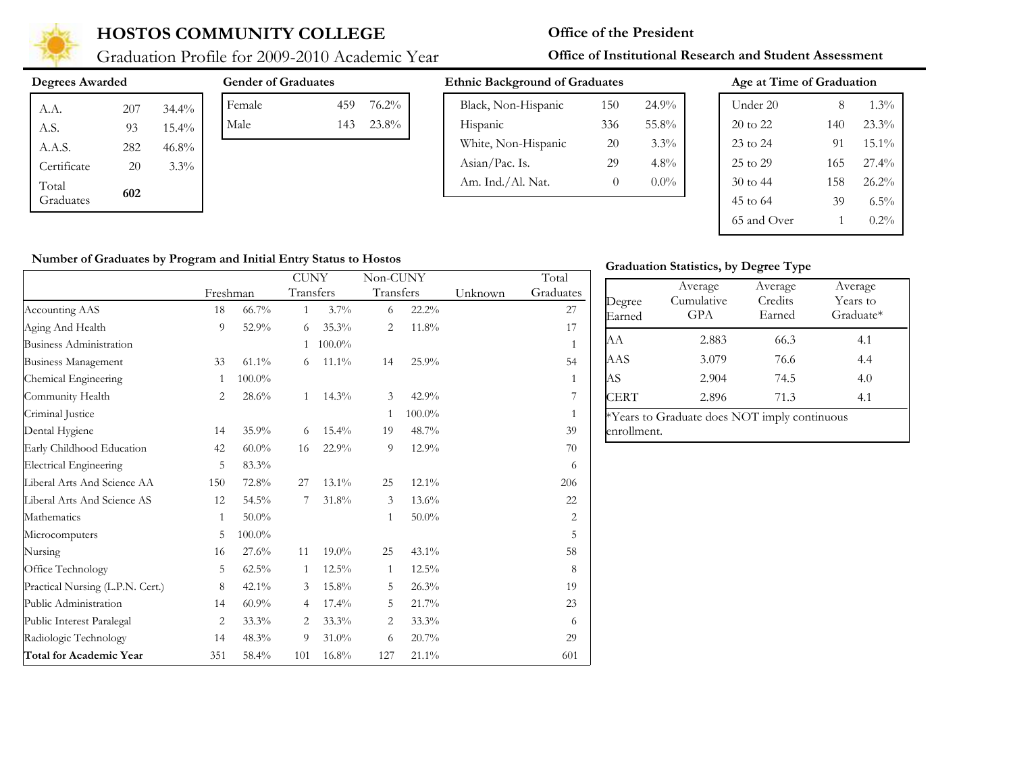

# **HOSTOS COMMUNITY COLLEGE Office of the President**

Graduation Profile for 2009-2010 Academic Year

**Office of Institutional Research and Student Assessment**

| <b>Degrees Awarded</b> |           |                | <b>Gender of Graduates</b> |     |          |
|------------------------|-----------|----------------|----------------------------|-----|----------|
| A.A.                   | 207       | $34.4\%$       | Female                     | 459 | $76.2\%$ |
| A.S.<br>A.A.S.         | 93<br>282 | 15.4%<br>46.8% | Male                       | 143 | $23.8\%$ |
| Certificate            | 20        | $3.3\%$        |                            |     |          |
| Total<br>Graduates     | 602       |                |                            |     |          |

| <b>Ethnic Background of Graduates</b> |                  |         |  |  |
|---------------------------------------|------------------|---------|--|--|
| Black, Non-Hispanic                   | 150              | 24.9%   |  |  |
| Hispanic                              | 336              | 55.8%   |  |  |
| White, Non-Hispanic                   | 20               | $3.3\%$ |  |  |
| Asian/Pac. Is.                        | 29               | $4.8\%$ |  |  |
| Am. Ind./Al. Nat.                     | $\left( \right)$ | $0.0\%$ |  |  |

| Age at Time of Graduation |     |          |  |  |
|---------------------------|-----|----------|--|--|
| Under 20                  | 8   | $1.3\%$  |  |  |
| $20 \text{ to } 22$       | 140 | $23.3\%$ |  |  |
| $23 \text{ to } 24$       | 91  | $15.1\%$ |  |  |
| $25 \text{ to } 29$       | 165 | $27.4\%$ |  |  |
| 30 to $44$                | 158 | $26.2\%$ |  |  |
| $45 \text{ to } 64$       | 39  | $6.5\%$  |  |  |
| 65 and Over               | 1   | $0.2\%$  |  |  |

### **Number of Graduates by Program and Initial Entry Status to Hostos**

|                                  |              |          | <b>CUNY</b>    |          | Non-CUNY     |          |         | Total          |
|----------------------------------|--------------|----------|----------------|----------|--------------|----------|---------|----------------|
|                                  | Freshman     |          | Transfers      |          | Transfers    |          | Unknown | Graduates      |
| Accounting AAS                   | 18           | $66.7\%$ | $\mathbf{1}$   | $3.7\%$  | 6            | 22.2%    |         | 27             |
| Aging And Health                 | 9            | 52.9%    | 6              | 35.3%    | 2            | 11.8%    |         | 17             |
| Business Administration          |              |          | 1              | 100.0%   |              |          |         | $\mathbf{1}$   |
| <b>Business Management</b>       | 33           | $61.1\%$ | 6              | $11.1\%$ | 14           | $25.9\%$ |         | 54             |
| Chemical Engineering             | 1            | 100.0%   |                |          |              |          |         | $\mathbf{1}$   |
| Community Health                 | 2            | 28.6%    | 1              | 14.3%    | 3            | 42.9%    |         | 7              |
| Criminal Justice                 |              |          |                |          | $\mathbf{1}$ | 100.0%   |         | 1              |
| Dental Hygiene                   | 14           | 35.9%    | 6              | $15.4\%$ | 19           | 48.7%    |         | 39             |
| Early Childhood Education        | 42           | $60.0\%$ | 16             | 22.9%    | 9            | $12.9\%$ |         | 70             |
| <b>Electrical Engineering</b>    | 5            | 83.3%    |                |          |              |          |         | 6              |
| Liberal Arts And Science AA      | 150          | 72.8%    | 27             | $13.1\%$ | 25           | $12.1\%$ |         | 206            |
| Liberal Arts And Science AS      | 12           | 54.5%    | 7              | 31.8%    | 3            | 13.6%    |         | 22             |
| Mathematics                      | $\mathbf{1}$ | $50.0\%$ |                |          | $\mathbf{1}$ | $50.0\%$ |         | $\overline{2}$ |
| Microcomputers                   | 5            | 100.0%   |                |          |              |          |         | 5              |
| Nursing                          | 16           | 27.6%    | 11             | $19.0\%$ | 25           | $43.1\%$ |         | 58             |
| Office Technology                | 5            | 62.5%    | 1              | $12.5\%$ | 1            | $12.5\%$ |         | 8              |
| Practical Nursing (L.P.N. Cert.) | 8            | $42.1\%$ | 3              | 15.8%    | 5            | 26.3%    |         | 19             |
| Public Administration            | 14           | $60.9\%$ | $\overline{4}$ | 17.4%    | 5            | 21.7%    |         | 23             |
| Public Interest Paralegal        | 2            | 33.3%    | 2              | 33.3%    | 2            | 33.3%    |         | 6              |
| Radiologic Technology            | 14           | 48.3%    | 9              | 31.0%    | 6            | 20.7%    |         | 29             |
| Total for Academic Year          | 351          | 58.4%    | 101            | 16.8%    | 127          | $21.1\%$ |         | 601            |

| Degree<br>Earned | Average<br>Cumulative<br><b>GPA</b> | Average<br>Credits<br>Earned | Average<br>Years to<br>Graduate* |
|------------------|-------------------------------------|------------------------------|----------------------------------|
| AA               | 2.883                               | 66.3                         | 4.1                              |
| AAS              | 3.079                               | 76.6                         | 4.4                              |
| AS               | 2.904                               | 74.5                         | 4.0                              |
| CERT             | 2.896                               | 71.3                         | 4.1                              |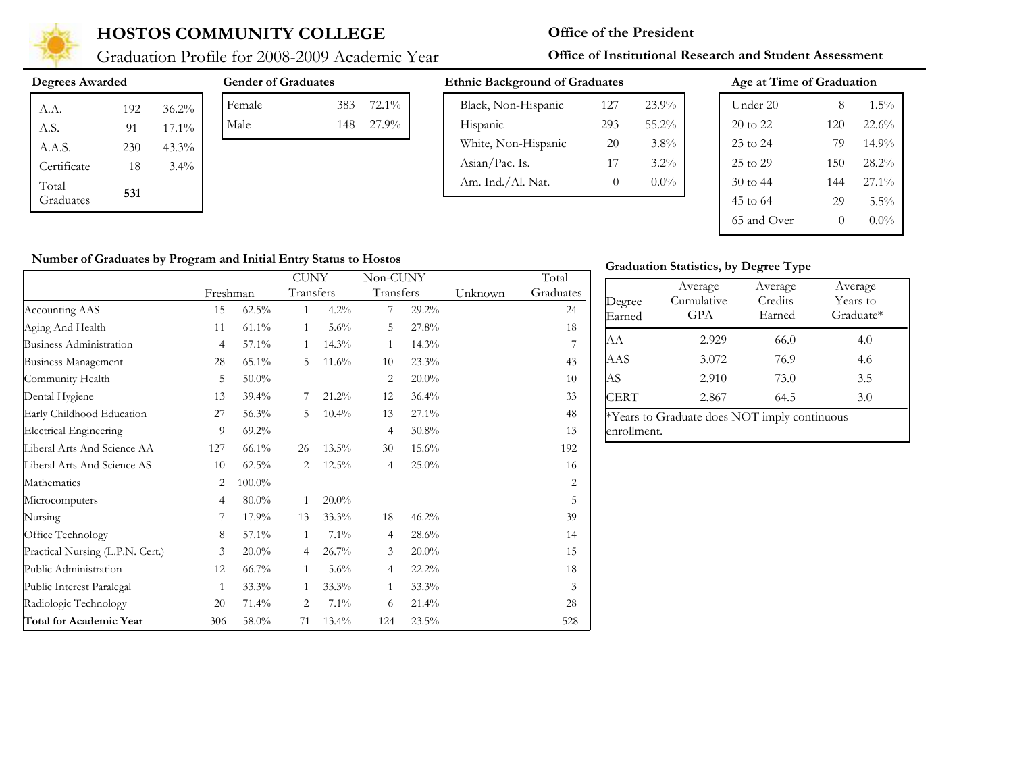

# **HOSTOS COMMUNITY COLLEGE Office of the President**

Graduation Profile for 2008-2009 Academic Year

**Office of Institutional Research and Student Assessment**

|                    | <b>Degrees Awarded</b> |          |        | <b>Gender of Graduates</b> |
|--------------------|------------------------|----------|--------|----------------------------|
| A.A.               | 192                    | $36.2\%$ | Female | $72.1\%$<br>383            |
| A.S.               | 91                     | 17.1%    | Male   | 27.9%<br>148               |
| A.A.S.             | 230                    | $43.3\%$ |        |                            |
| Certificate        | 18                     | $3.4\%$  |        |                            |
| Total<br>Graduates | 531                    |          |        |                            |

| <b>Ethnic Background of Graduates</b> |                  |          |  |  |  |
|---------------------------------------|------------------|----------|--|--|--|
| Black, Non-Hispanic                   | 127              | 23.9%    |  |  |  |
| Hispanic                              | 293              | $55.2\%$ |  |  |  |
| White, Non-Hispanic                   | 20               | $3.8\%$  |  |  |  |
| Asian/Pac. Is.                        | 17               | $3.2\%$  |  |  |  |
| Am. Ind./Al. Nat.                     | $\left( \right)$ | $0.0\%$  |  |  |  |

| Age at Time of Graduation |                  |          |  |  |  |  |  |
|---------------------------|------------------|----------|--|--|--|--|--|
| Under 20                  | 8                | $1.5\%$  |  |  |  |  |  |
| $20 \text{ to } 22$       | 120              | 22.6%    |  |  |  |  |  |
| $23$ to $24$              | 79               | $14.9\%$ |  |  |  |  |  |
| $25 \text{ to } 29$       | 150              | $28.2\%$ |  |  |  |  |  |
| 30 to $44$                | 144              | $27.1\%$ |  |  |  |  |  |
| $45 \text{ to } 64$       | 29               | $5.5\%$  |  |  |  |  |  |
| 65 and Over               | $\left( \right)$ | $0.0\%$  |  |  |  |  |  |

### **Number of Graduates by Program and Initial Entry Status to Hostos**

|                                  |     |          |              | <b>CUNY</b> |                | Non-CUNY |         | Total     |
|----------------------------------|-----|----------|--------------|-------------|----------------|----------|---------|-----------|
|                                  |     | Freshman | Transfers    |             | Transfers      |          | Unknown | Graduates |
| Accounting AAS                   | 15  | $62.5\%$ | $\mathbf{1}$ | 4.2%        | 7              | $29.2\%$ |         | 24        |
| Aging And Health                 | 11  | $61.1\%$ | 1            | 5.6%        | 5              | 27.8%    |         | 18        |
| <b>Business Administration</b>   | 4   | 57.1%    | 1            | 14.3%       | 1              | $14.3\%$ |         |           |
| <b>Business Management</b>       | 28  | $65.1\%$ | 5            | 11.6%       | 10             | $23.3\%$ |         | 43        |
| Community Health                 | 5   | $50.0\%$ |              |             | $\overline{2}$ | $20.0\%$ |         | 10        |
| Dental Hygiene                   | 13  | $39.4\%$ | 7            | 21.2%       | 12             | 36.4%    |         | 33        |
| Early Childhood Education        | 27  | 56.3%    | 5            | $10.4\%$    | 13             | $27.1\%$ |         | 48        |
| <b>Electrical Engineering</b>    | 9   | 69.2%    |              |             | 4              | $30.8\%$ |         | 13        |
| Liberal Arts And Science AA      | 127 | $66.1\%$ | 26           | $13.5\%$    | 30             | 15.6%    |         | 192       |
| Liberal Arts And Science AS      | 10  | 62.5%    | 2            | $12.5\%$    | 4              | 25.0%    |         | 16        |
| Mathematics                      | 2   | 100.0%   |              |             |                |          |         | 2         |
| Microcomputers                   | 4   | $80.0\%$ | 1            | $20.0\%$    |                |          |         | 5         |
| Nursing                          | 7   | $17.9\%$ | 13           | $33.3\%$    | 18             | $46.2\%$ |         | 39        |
| Office Technology                | 8   | 57.1%    | 1            | $7.1\%$     | 4              | 28.6%    |         | 14        |
| Practical Nursing (L.P.N. Cert.) | 3   | $20.0\%$ | 4            | 26.7%       | 3              | $20.0\%$ |         | 15        |
| Public Administration            | 12  | $66.7\%$ | 1            | 5.6%        | 4              | 22.2%    |         | 18        |
| Public Interest Paralegal        | 1   | 33.3%    | 1            | 33.3%       | 1              | 33.3%    |         | 3         |
| Radiologic Technology            | 20  | 71.4%    | 2            | $7.1\%$     | 6              | $21.4\%$ |         | 28        |
| Total for Academic Year          | 306 | 58.0%    | 71           | $13.4\%$    | 124            | 23.5%    |         | 528       |

| Degree<br>Earned | Average<br>Cumulative<br>GPA | Average<br>Credits<br>Earned | Average<br>Years to<br>Graduate* |
|------------------|------------------------------|------------------------------|----------------------------------|
| AА               | 2.929                        | 66.0                         | 4.0                              |
| AAS              | 3.072                        | 76.9                         | 4.6                              |
| AS               | 2.910                        | 73.0                         | 3.5                              |
| CERT             | 2.867                        | 64.5                         | 3.0                              |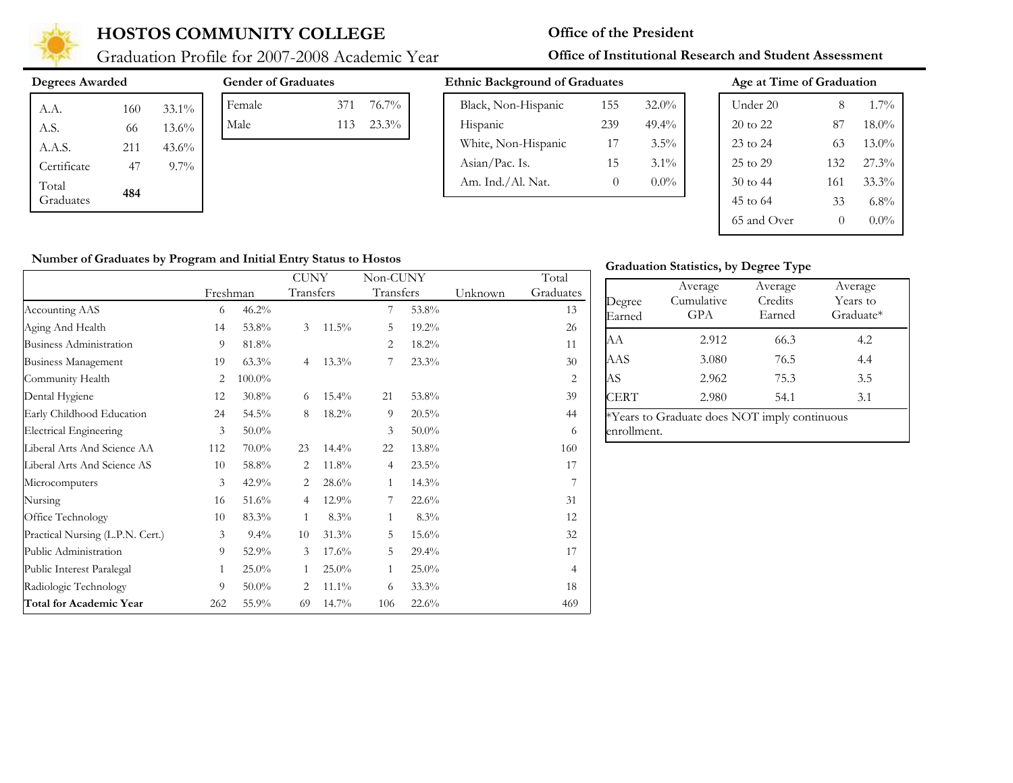

# **HOSTOS COMMUNITY COLLEGE Office of the President**

Graduation Profile for 2007-2008 Academic Year

**Office of Institutional Research and Student Assessment**

| <b>Degrees Awarded</b> |     |          | <b>Gender of Graduates</b> |     |       |
|------------------------|-----|----------|----------------------------|-----|-------|
| A.A.                   | 160 | $33.1\%$ | Female                     | 371 | 76.7% |
| A.S.                   | 66  | 13.6%    | Male                       | 113 | 23.3% |
| A.A.S.                 | 211 | $43.6\%$ |                            |     |       |
| Certificate            | 47  | $9.7\%$  |                            |     |       |
| Total<br>Graduates     | 484 |          |                            |     |       |

| <b>Ethnic Background of Graduates</b> |     |          |  |  |  |  |  |
|---------------------------------------|-----|----------|--|--|--|--|--|
| Black, Non-Hispanic                   | 155 | $32.0\%$ |  |  |  |  |  |
| Hispanic                              | 239 | $49.4\%$ |  |  |  |  |  |
| White, Non-Hispanic                   | 17  | $3.5\%$  |  |  |  |  |  |
| Asian/Pac. Is.                        | 15  | $3.1\%$  |  |  |  |  |  |
| Am. Ind./Al. Nat.                     |     | $0.0\%$  |  |  |  |  |  |

| Age at Time of Graduation |        |          |  |  |  |  |  |  |
|---------------------------|--------|----------|--|--|--|--|--|--|
| Under 20                  | 8      | $1.7\%$  |  |  |  |  |  |  |
| $20 \text{ to } 22$       | 87     | $18.0\%$ |  |  |  |  |  |  |
| $23$ to $24$              | 63     | $13.0\%$ |  |  |  |  |  |  |
| $25 \text{ to } 29$       | 132    | $27.3\%$ |  |  |  |  |  |  |
| 30 to $44$                | 161    | 33.3%    |  |  |  |  |  |  |
| 45 to 64                  | 33     | $6.8\%$  |  |  |  |  |  |  |
| 65 and Over               | $\cup$ | $0.0\%$  |  |  |  |  |  |  |

### **Number of Graduates by Program and Initial Entry Status to Hostos**

|                                  |     |          |                | <b>CUNY</b> |           | Non-CUNY |         | Total     |
|----------------------------------|-----|----------|----------------|-------------|-----------|----------|---------|-----------|
|                                  |     | Freshman | Transfers      |             | Transfers |          | Unknown | Graduates |
| Accounting AAS                   | 6   | $46.2\%$ |                |             | 7         | 53.8%    |         | 13        |
| Aging And Health                 | 14  | 53.8%    | 3              | $11.5\%$    | 5         | $19.2\%$ |         | 26        |
| <b>Business Administration</b>   | 9   | 81.8%    |                |             | 2         | $18.2\%$ |         | 11        |
| Business Management              | 19  | $63.3\%$ | 4              | $13.3\%$    | 7         | $23.3\%$ |         | 30        |
| Community Health                 | 2   | 100.0%   |                |             |           |          |         | 2         |
| Dental Hygiene                   | 12  | $30.8\%$ | 6              | $15.4\%$    | 21        | 53.8%    |         | 39        |
| Early Childhood Education        | 24  | 54.5%    | 8              | $18.2\%$    | 9         | 20.5%    |         | 44        |
| Electrical Engineering           | 3   | 50.0%    |                |             | 3         | $50.0\%$ |         | 6         |
| Liberal Arts And Science AA      | 112 | $70.0\%$ | 23             | $14.4\%$    | 22        | 13.8%    |         | 160       |
| Liberal Arts And Science AS      | 10  | 58.8%    | 2              | 11.8%       | 4         | 23.5%    |         | 17        |
| Microcomputers                   | 3   | $42.9\%$ | $\overline{c}$ | 28.6%       | 1         | 14.3%    |         |           |
| Nursing                          | 16  | 51.6%    | $\overline{4}$ | $12.9\%$    | 7         | 22.6%    |         | 31        |
| Office Technology                | 10  | 83.3%    | 1              | 8.3%        | 1         | 8.3%     |         | 12        |
| Practical Nursing (L.P.N. Cert.) | 3   | $9.4\%$  | 10             | 31.3%       | 5         | 15.6%    |         | 32        |
| Public Administration            | 9   | 52.9%    | 3              | $17.6\%$    | 5         | $29.4\%$ |         | 17        |
| Public Interest Paralegal        | 1   | $25.0\%$ | 1              | $25.0\%$    | 1         | 25.0%    |         | 4         |
| Radiologic Technology            | 9   | $50.0\%$ | $\overline{c}$ | $11.1\%$    | 6         | $33.3\%$ |         | 18        |
| Total for Academic Year          | 262 | 55.9%    | 69             | $14.7\%$    | 106       | 22.6%    |         | 469       |

| Degree<br>Earned | Average<br>Cumulative<br>GPA | Average<br>Credits<br>Earned | Average<br>Years to<br>Graduate* |
|------------------|------------------------------|------------------------------|----------------------------------|
| AА               | 2.912                        | 66.3                         | 4.2                              |
| AAS              | 3.080                        | 76.5                         | 4.4                              |
| AS               | 2.962                        | 75.3                         | 3.5                              |
| CERT             | 2.980                        | 54.1                         | 3.1                              |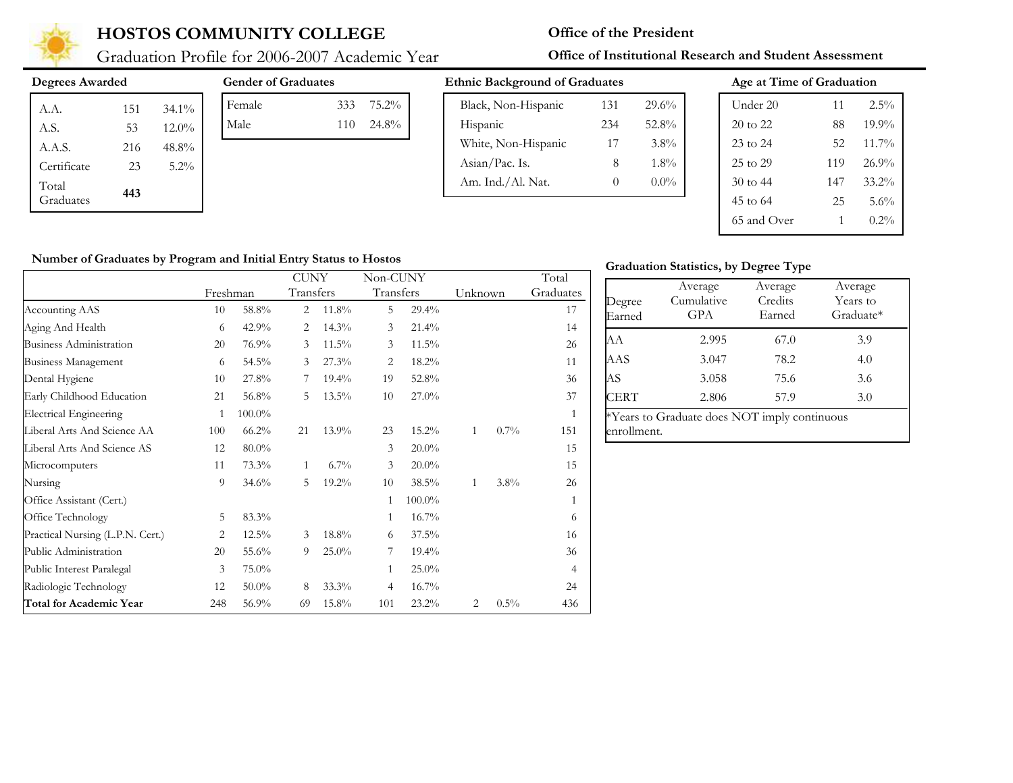

# **HOSTOS COMMUNITY COLLEGE Office of the President**

Graduation Profile for 2006-2007 Academic Year

**Office of Institutional Research and Student Assessment**

| <b>Degrees Awarded</b> |     |          | <b>Gender of Graduates</b> |     |          |
|------------------------|-----|----------|----------------------------|-----|----------|
| A.A.                   | 151 | $34.1\%$ | Female                     | 333 | $75.2\%$ |
| A.S.                   | 53  | 12.0%    | Male                       | 110 | $24.8\%$ |
| A.A.S.                 | 216 | 48.8%    |                            |     |          |
| Certificate            | 23  | $5.2\%$  |                            |     |          |
| Total<br>Graduates     | 443 |          |                            |     |          |

| <b>Ethnic Background of Graduates</b> |     |         |  |  |  |  |  |
|---------------------------------------|-----|---------|--|--|--|--|--|
| Black, Non-Hispanic                   | 131 | 29.6%   |  |  |  |  |  |
| Hispanic                              | 234 | 52.8%   |  |  |  |  |  |
| White, Non-Hispanic                   | 17  | $3.8\%$ |  |  |  |  |  |
| Asian/Pac. Is.                        | 8   | $1.8\%$ |  |  |  |  |  |
| Am. Ind./Al. Nat.                     |     | $0.0\%$ |  |  |  |  |  |

| Age at Time of Graduation |     |          |  |  |  |  |  |
|---------------------------|-----|----------|--|--|--|--|--|
| Under 20                  | 11  | $2.5\%$  |  |  |  |  |  |
| $20 \text{ to } 22$       | 88  | $19.9\%$ |  |  |  |  |  |
| $23$ to $24$              | 52  | $11.7\%$ |  |  |  |  |  |
| $25 \text{ to } 29$       | 119 | $26.9\%$ |  |  |  |  |  |
| $30 \text{ to } 44$       | 147 | 33.2%    |  |  |  |  |  |
| $45$ to $64$              | 25  | 5.6%     |  |  |  |  |  |
| 65 and Over               | 1   | $0.2\%$  |  |  |  |  |  |

### **Number of Graduates by Program and Initial Entry Status to Hostos**

|                                  |          |           | <b>CUNY</b>    |          | Non-CUNY  |           |              |         | Total        |
|----------------------------------|----------|-----------|----------------|----------|-----------|-----------|--------------|---------|--------------|
|                                  | Freshman |           | Transfers      |          | Transfers |           | Unknown      |         | Graduates    |
| Accounting AAS                   | 10       | 58.8%     | 2              | 11.8%    | 5         | 29.4%     |              |         | 17           |
| Aging And Health                 | 6        | 42.9%     | $\overline{c}$ | $14.3\%$ | 3         | 21.4%     |              |         | 14           |
| <b>Business Administration</b>   | 20       | 76.9%     | 3              | $11.5\%$ | 3         | $11.5\%$  |              |         | 26           |
| <b>Business Management</b>       | 6        | 54.5%     | 3              | $27.3\%$ | 2         | $18.2\%$  |              |         | 11           |
| Dental Hygiene                   | 10       | 27.8%     | 7              | $19.4\%$ | 19        | 52.8%     |              |         | 36           |
| Early Childhood Education        | 21       | 56.8%     | 5              | $13.5\%$ | 10        | $27.0\%$  |              |         | 37           |
| <b>Electrical Engineering</b>    | 1        | $100.0\%$ |                |          |           |           |              |         | $\mathbf{1}$ |
| Liberal Arts And Science AA      | 100      | $66.2\%$  | 21             | $13.9\%$ | 23        | $15.2\%$  | $\mathbf{1}$ | $0.7\%$ | 151          |
| Liberal Arts And Science AS      | 12       | $80.0\%$  |                |          | 3         | $20.0\%$  |              |         | 15           |
| Microcomputers                   | 11       | 73.3%     | 1              | $6.7\%$  | 3         | $20.0\%$  |              |         | 15           |
| Nursing                          | 9        | 34.6%     | 5              | $19.2\%$ | 10        | 38.5%     | 1            | $3.8\%$ | 26           |
| Office Assistant (Cert.)         |          |           |                |          | 1         | $100.0\%$ |              |         | 1            |
| Office Technology                | 5        | 83.3%     |                |          | 1         | 16.7%     |              |         | 6            |
| Practical Nursing (L.P.N. Cert.) | 2        | $12.5\%$  | 3              | 18.8%    | 6         | 37.5%     |              |         | 16           |
| Public Administration            | 20       | 55.6%     | 9              | $25.0\%$ | 7         | $19.4\%$  |              |         | 36           |
| Public Interest Paralegal        | 3        | $75.0\%$  |                |          | 1         | 25.0%     |              |         | 4            |
| Radiologic Technology            | 12       | $50.0\%$  | 8              | $33.3\%$ | 4         | $16.7\%$  |              |         | 24           |
| Total for Academic Year          | 248      | 56.9%     | 69             | 15.8%    | 101       | $23.2\%$  | 2            | 0.5%    | 436          |

| Degree<br>Earned | Average<br>Cumulative<br><b>GPA</b> | Average<br>Credits<br>Earned | Average<br>Years to<br>Graduate* |
|------------------|-------------------------------------|------------------------------|----------------------------------|
| AA               | 2.995                               | 67.0                         | 3.9                              |
| AAS              | 3.047                               | 78.2                         | 4.0                              |
| AS               | 3.058                               | 75.6                         | 3.6                              |
| CERT             | 2.806                               | 57.9                         | 3.0                              |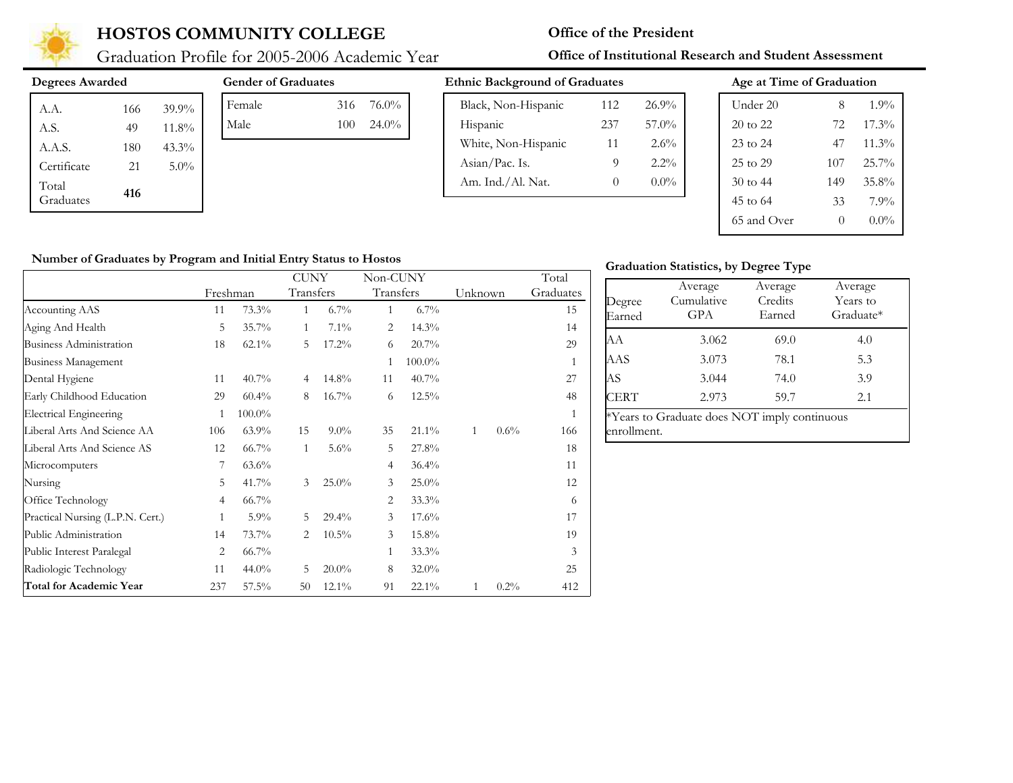

# **HOSTOS COMMUNITY COLLEGE Office of the President**

Graduation Profile for 2005-2006 Academic Year

**Office of Institutional Research and Student Assessment**

| <b>Degrees Awarded</b> |           |                | <b>Gender of Graduates</b> |                                    |
|------------------------|-----------|----------------|----------------------------|------------------------------------|
| A.A.<br>A.S.           | 166<br>49 | 39.9%<br>11.8% | Female<br>Male             | $76.0\%$<br>316<br>$24.0\%$<br>100 |
| A.A.S.                 | 180       | 43.3%          |                            |                                    |
| Certificate            | 21        | $5.0\%$        |                            |                                    |
| Total<br>Graduates     | 416       |                |                            |                                    |

| <b>Ethnic Background of Graduates</b> |     |          |  |  |
|---------------------------------------|-----|----------|--|--|
| Black, Non-Hispanic                   | 112 | $26.9\%$ |  |  |
| Hispanic                              | 237 | 57.0%    |  |  |
| White, Non-Hispanic                   | 11  | 2.6%     |  |  |
| Asian/Pac. Is.                        | O)  | $2.2\%$  |  |  |
| Am. Ind./Al. Nat.                     |     | $0.0\%$  |  |  |

| Age at Time of Graduation |                  |          |  |  |  |
|---------------------------|------------------|----------|--|--|--|
| Under 20                  | 8                | $1.9\%$  |  |  |  |
| $20 \text{ to } 22$       | 72               | $17.3\%$ |  |  |  |
| $23 \text{ to } 24$       | 47               | $11.3\%$ |  |  |  |
| $25 \text{ to } 29$       | 107              | $25.7\%$ |  |  |  |
| 30 to $44$                | 149              | 35.8%    |  |  |  |
| $45 \text{ to } 64$       | 33               | $7.9\%$  |  |  |  |
| 65 and Over               | $\left( \right)$ | $0.0\%$  |  |  |  |

### **Number of Graduates by Program and Initial Entry Status to Hostos**

|                                  |              |           | <b>CUNY</b>                   |          | Non-CUNY     |          |         |         | Total        |
|----------------------------------|--------------|-----------|-------------------------------|----------|--------------|----------|---------|---------|--------------|
|                                  | Freshman     |           | Transfers                     |          | Transfers    |          | Unknown |         | Graduates    |
| Accounting AAS                   | 11           | $73.3\%$  | $\mathbf{1}$                  | $6.7\%$  | 1            | $6.7\%$  |         |         | 15           |
| Aging And Health                 | 5            | 35.7%     | 1                             | $7.1\%$  | 2            | 14.3%    |         |         | 14           |
| Business Administration          | 18           | $62.1\%$  | 5                             | $17.2\%$ | 6            | 20.7%    |         |         | 29           |
| <b>Business Management</b>       |              |           |                               |          | $\mathbf{1}$ | 100.0%   |         |         | $\mathbf{1}$ |
| Dental Hygiene                   | 11           | 40.7%     | 4                             | 14.8%    | 11           | 40.7%    |         |         | 27           |
| Early Childhood Education        | 29           | $60.4\%$  | 8                             | $16.7\%$ | 6            | $12.5\%$ |         |         | 48           |
| <b>Electrical Engineering</b>    | $\mathbf{1}$ | $100.0\%$ |                               |          |              |          |         |         | 1            |
| Liberal Arts And Science AA      | 106          | $63.9\%$  | 15                            | $9.0\%$  | 35           | $21.1\%$ | 1       | $0.6\%$ | 166          |
| Liberal Arts And Science AS      | 12           | $66.7\%$  | $\mathbf{1}$                  | $5.6\%$  | 5            | 27.8%    |         |         | 18           |
| Microcomputers                   | 7            | $63.6\%$  |                               |          | 4            | 36.4%    |         |         | 11           |
| Nursing                          | 5            | 41.7%     | 3                             | $25.0\%$ | 3            | 25.0%    |         |         | 12           |
| Office Technology                | 4            | 66.7%     |                               |          | 2            | 33.3%    |         |         | 6            |
| Practical Nursing (L.P.N. Cert.) | 1            | $5.9\%$   | 5                             | $29.4\%$ | 3            | 17.6%    |         |         | 17           |
| Public Administration            | 14           | 73.7%     | $\mathfrak{D}_{\mathfrak{p}}$ | $10.5\%$ | 3            | 15.8%    |         |         | 19           |
| Public Interest Paralegal        | 2            | $66.7\%$  |                               |          | 1            | 33.3%    |         |         | 3            |
| Radiologic Technology            | 11           | 44.0%     | 5                             | $20.0\%$ | 8            | $32.0\%$ |         |         | 25           |
| Total for Academic Year          | 237          | 57.5%     | 50                            | $12.1\%$ | 91           | $22.1\%$ | 1       | $0.2\%$ | 412          |

| Degree<br>Earned | Average<br>Cumulative<br><b>GPA</b> | Average<br>Credits<br>Earned | Average<br>Years to<br>Graduate* |
|------------------|-------------------------------------|------------------------------|----------------------------------|
| AА               | 3.062                               | 69.0                         | 4.0                              |
| AAS              | 3.073                               | 78.1                         | 5.3                              |
| AS               | 3.044                               | 74.0                         | 3.9                              |
| CERT             | 2.973                               | 59.7                         | 2.1                              |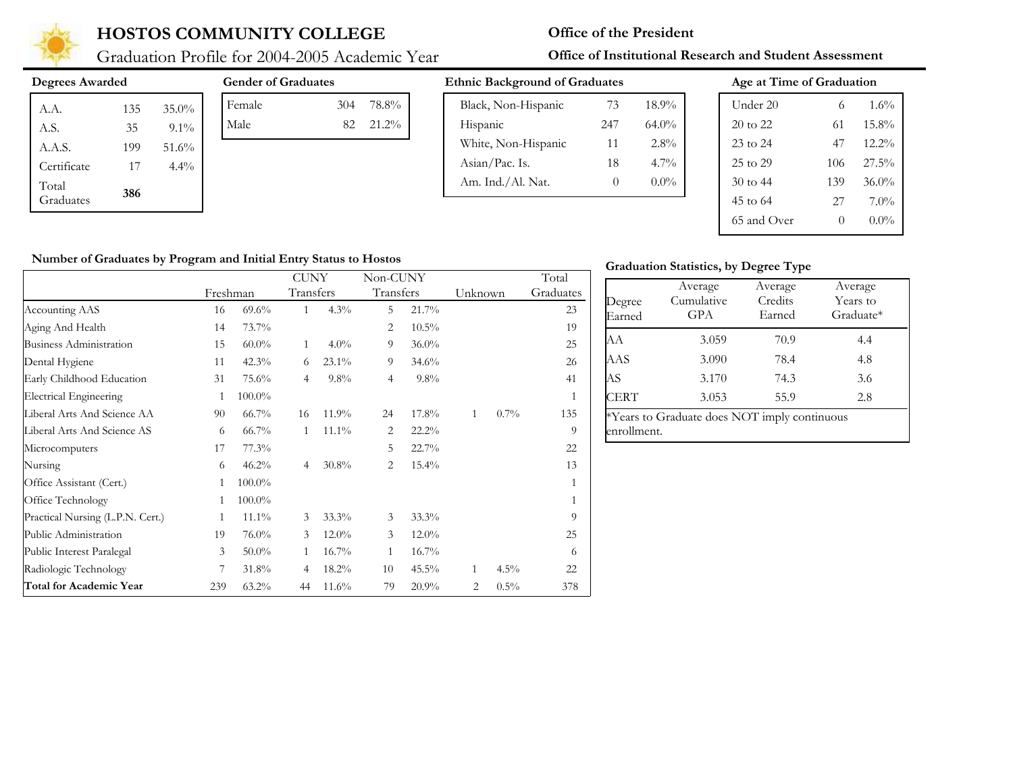

Total

Graduates **<sup>386</sup>**

# **HOSTOS COMMUNITY COLLEGE Office of the President**

Graduation Profile for 2004-2005 Academic Year

**Office of Institutional Research and Student Assessment**

| <b>Degrees Awarded</b> |     |          | <b>Gender of Graduates</b> |     |          |
|------------------------|-----|----------|----------------------------|-----|----------|
| A.A.                   | 135 | $35.0\%$ | Female                     | 304 | 78.8%    |
| A.S.                   | 35  | $9.1\%$  | Male                       | 82  | $21.2\%$ |
| A.A.S.                 | 199 | 51.6%    |                            |     |          |
| Certificate            |     | 4.4%     |                            |     |          |
| $TT \rightarrow 1$     |     |          |                            |     |          |

| <b>Ethnic Background of Graduates</b> |     |          |  |  |  |
|---------------------------------------|-----|----------|--|--|--|
| Black, Non-Hispanic                   | 73  | $18.9\%$ |  |  |  |
| Hispanic                              | 247 | $64.0\%$ |  |  |  |
| White, Non-Hispanic                   | 11  | $2.8\%$  |  |  |  |
| Asian/Pac. Is.                        | 18  | $4.7\%$  |  |  |  |
| Am. Ind./Al. Nat.                     |     | $0.0\%$  |  |  |  |

| Age at Time of Graduation |        |          |  |  |  |
|---------------------------|--------|----------|--|--|--|
| Under 20                  | 6      | $1.6\%$  |  |  |  |
| $20 \text{ to } 22$       | 61     | $15.8\%$ |  |  |  |
| $23 \text{ to } 24$       | 47     | $12.2\%$ |  |  |  |
| $25 \text{ to } 29$       | 106    | $27.5\%$ |  |  |  |
| $30 \text{ to } 44$       | 139    | $36.0\%$ |  |  |  |
| $45 \text{ to } 64$       | 27     | $7.0\%$  |  |  |  |
| 65 and Over               | $\cup$ | $0.0\%$  |  |  |  |

### **Number of Graduates by Program and Initial Entry Status to Hostos**

|                                  |              |           | <b>CUNY</b>    |          | Non-CUNY       |          |                |         | Total        |
|----------------------------------|--------------|-----------|----------------|----------|----------------|----------|----------------|---------|--------------|
|                                  | Freshman     |           | Transfers      |          | Transfers      |          | Unknown        |         | Graduates    |
| Accounting AAS                   | 16           | $69.6\%$  | $\mathbf{1}$   | $4.3\%$  | 5              | 21.7%    |                |         | 23           |
| Aging And Health                 | 14           | 73.7%     |                |          | $\overline{2}$ | $10.5\%$ |                |         | 19           |
| <b>Business Administration</b>   | 15           | $60.0\%$  | $\mathbf{1}$   | $4.0\%$  | 9              | $36.0\%$ |                |         | 25           |
| Dental Hygiene                   | 11           | $42.3\%$  | 6              | $23.1\%$ | 9              | 34.6%    |                |         | 26           |
| Early Childhood Education        | 31           | $75.6\%$  | $\overline{4}$ | 9.8%     | $\overline{4}$ | 9.8%     |                |         | 41           |
| Electrical Engineering           | $\mathbf{1}$ | $100.0\%$ |                |          |                |          |                |         | $\mathbf{1}$ |
| Liberal Arts And Science AA      | 90           | $66.7\%$  | 16             | $11.9\%$ | 24             | 17.8%    | $\mathbf{1}$   | $0.7\%$ | 135          |
| Liberal Arts And Science AS      | 6            | $66.7\%$  | 1              | $11.1\%$ | 2              | $22.2\%$ |                |         | 9            |
| Microcomputers                   | 17           | 77.3%     |                |          | 5              | 22.7%    |                |         | 22           |
| Nursing                          | 6            | $46.2\%$  | 4              | $30.8\%$ | 2              | 15.4%    |                |         | 13           |
| Office Assistant (Cert.)         | 1            | $100.0\%$ |                |          |                |          |                |         | $\mathbf{1}$ |
| Office Technology                | 1            | $100.0\%$ |                |          |                |          |                |         | $\mathbf{1}$ |
| Practical Nursing (L.P.N. Cert.) | $\mathbf{1}$ | $11.1\%$  | 3              | $33.3\%$ | 3              | 33.3%    |                |         | 9            |
| Public Administration            | 19           | $76.0\%$  | 3              | $12.0\%$ | 3              | $12.0\%$ |                |         | 25           |
| Public Interest Paralegal        | 3            | $50.0\%$  | 1              | $16.7\%$ | 1              | $16.7\%$ |                |         | 6            |
| Radiologic Technology            | 7            | 31.8%     | 4              | $18.2\%$ | 10             | 45.5%    | 1              | $4.5\%$ | 22           |
| Total for Academic Year          | 239          | $63.2\%$  | 44             | $11.6\%$ | 79             | 20.9%    | $\overline{2}$ | $0.5\%$ | 378          |

## **Graduation Statistics, by Degree Type**

| Degree<br>Earned | Average<br>Cumulative<br>GPA | Average<br>Credits<br>Earned | Average<br>Years to<br>Graduate* |
|------------------|------------------------------|------------------------------|----------------------------------|
| AA               | 3.059                        | 70.9                         | 4.4                              |
| AAS              | 3.090                        | 78.4                         | 4.8                              |
| AS               | 3.170                        | 74.3                         | 3.6                              |
| CERT             | 3.053                        | 55.9                         | 2.8                              |

enrollment.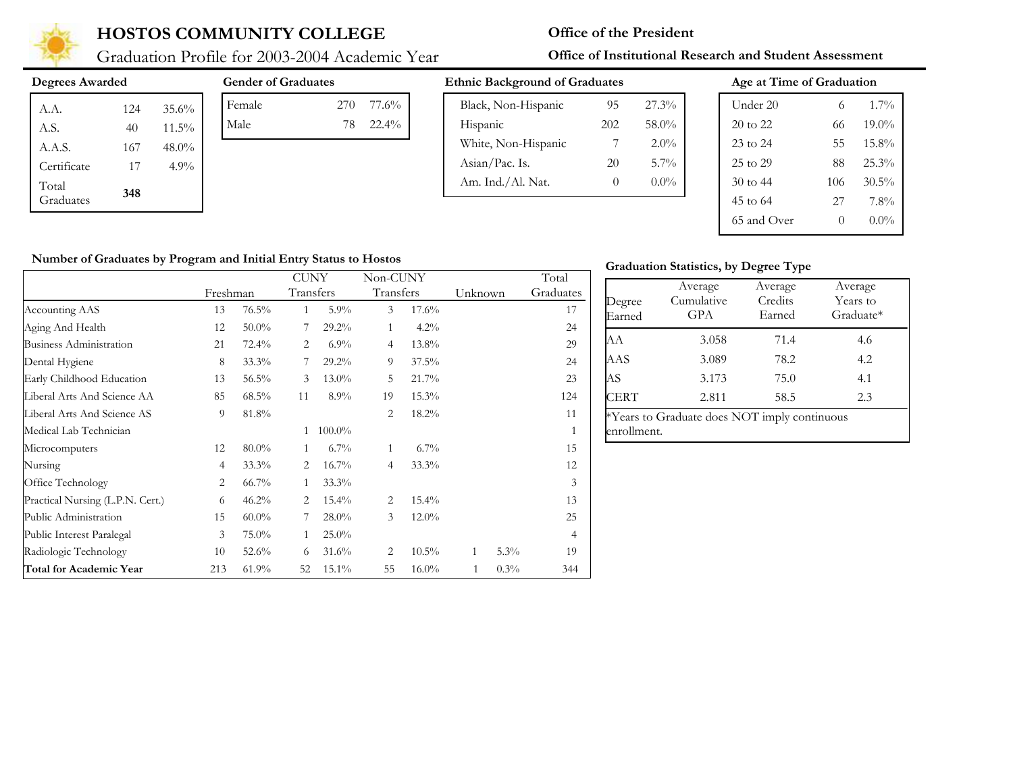

# **HOSTOS COMMUNITY COLLEGE Office of the President**

Graduation Profile for 2003-2004 Academic Year

**Office of Institutional Research and Student Assessment**

| <b>Degrees Awarded</b> |     |          | <b>Gender of Graduates</b> |     |          |
|------------------------|-----|----------|----------------------------|-----|----------|
| A.A.                   | 124 | $35.6\%$ | Female                     | 270 | 77.6%    |
| A.S.                   | 40  | 11.5%    | Male                       | 78  | $22.4\%$ |
| A.A.S.                 | 167 | $48.0\%$ |                            |     |          |
| Certificate            | 17  | $4.9\%$  |                            |     |          |
| Total<br>Graduates     | 348 |          |                            |     |          |

| <b>Ethnic Background of Graduates</b> |        |         |  |  |  |  |
|---------------------------------------|--------|---------|--|--|--|--|
| Black, Non-Hispanic                   | 95     | 27.3%   |  |  |  |  |
| Hispanic                              | 202    | 58.0%   |  |  |  |  |
| White, Non-Hispanic                   | 7      | 2.0%    |  |  |  |  |
| Asian/Pac. Is.                        | 20     | $5.7\%$ |  |  |  |  |
| Am. Ind./Al. Nat.                     | $\Box$ | $0.0\%$ |  |  |  |  |

| Age at Time of Graduation |          |          |  |  |  |  |
|---------------------------|----------|----------|--|--|--|--|
| Under 20                  | 6        | $1.7\%$  |  |  |  |  |
| $20 \text{ to } 22$       | 66       | $19.0\%$ |  |  |  |  |
| $23$ to $24$              | 55       | $15.8\%$ |  |  |  |  |
| $25 \text{ to } 29$       | 88       | $25.3\%$ |  |  |  |  |
| $30 \text{ to } 44$       | 106      | $30.5\%$ |  |  |  |  |
| $45 \text{ to } 64$       | 27       | 7.8%     |  |  |  |  |
| 65 and Over               | $\Omega$ | $0.0\%$  |  |  |  |  |

### **Number of Graduates by Program and Initial Entry Status to Hostos**

|                                  |          |          | <b>CUNY</b>  |           | Non-CUNY       |          |              |         | Total     |
|----------------------------------|----------|----------|--------------|-----------|----------------|----------|--------------|---------|-----------|
|                                  | Freshman |          | Transfers    |           | Transfers      |          | Unknown      |         | Graduates |
| Accounting AAS                   | 13       | $76.5\%$ | $\mathbf{1}$ | 5.9%      | 3              | 17.6%    |              |         | 17        |
| Aging And Health                 | 12       | $50.0\%$ |              | $29.2\%$  | 1              | $4.2\%$  |              |         | 24        |
| Business Administration          | 21       | $72.4\%$ | 2            | $6.9\%$   | $\overline{4}$ | 13.8%    |              |         | 29        |
| Dental Hygiene                   | 8        | 33.3%    |              | $29.2\%$  | 9              | $37.5\%$ |              |         | 24        |
| Early Childhood Education        | 13       | $56.5\%$ | 3            | $13.0\%$  | 5              | 21.7%    |              |         | 23        |
| Liberal Arts And Science AA      | 85       | $68.5\%$ | 11           | $8.9\%$   | 19             | $15.3\%$ |              |         | 124       |
| Liberal Arts And Science AS      | 9        | 81.8%    |              |           | 2              | $18.2\%$ |              |         | 11        |
| Medical Lab Technician           |          |          | 1            | $100.0\%$ |                |          |              |         | 1         |
| Microcomputers                   | 12       | $80.0\%$ | 1            | $6.7\%$   | $\mathbf{1}$   | $6.7\%$  |              |         | 15        |
| Nursing                          | 4        | $33.3\%$ | 2            | $16.7\%$  | 4              | 33.3%    |              |         | 12        |
| Office Technology                | 2        | $66.7\%$ | 1            | $33.3\%$  |                |          |              |         | 3         |
| Practical Nursing (L.P.N. Cert.) | 6        | $46.2\%$ | 2            | $15.4\%$  | 2              | $15.4\%$ |              |         | 13        |
| Public Administration            | 15       | $60.0\%$ |              | $28.0\%$  | 3              | $12.0\%$ |              |         | 25        |
| Public Interest Paralegal        | 3        | $75.0\%$ | 1            | $25.0\%$  |                |          |              |         | 4         |
| Radiologic Technology            | 10       | $52.6\%$ | 6            | 31.6%     | 2              | $10.5\%$ | $\mathbf{1}$ | $5.3\%$ | 19        |
| Total for Academic Year          | 213      | 61.9%    | 52           | $15.1\%$  | 55             | $16.0\%$ | 1            | $0.3\%$ | 344       |

| Degree<br>Earned | Average<br>Cumulative<br><b>GPA</b> | Average<br>Credits<br>Earned | Average<br>Years to<br>Graduate* |
|------------------|-------------------------------------|------------------------------|----------------------------------|
| АA               | 3.058                               | 71.4                         | 4.6                              |
| AAS              | 3.089                               | 78.2                         | 4.2                              |
| AS               | 3.173                               | 75.0                         | 4.1                              |
| CERT             | 2.811                               | 58.5                         | 2.3                              |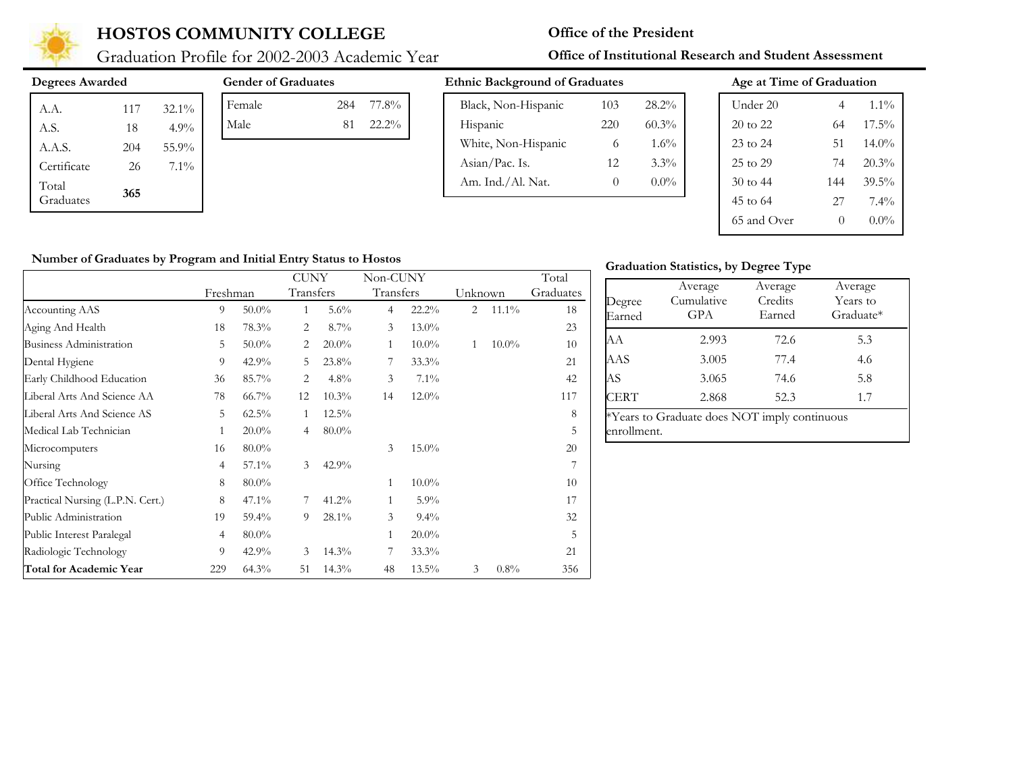

**Degrees** 

# **HOSTOS COMMUNITY COLLEGE Office of the President**

Graduation Profile for 2002-2003 Academic Year

**Office of Institutional Research and Student Assessment**

| Degrees Awarded    |     |          | <b>Gender of Graduates</b> |     |       |
|--------------------|-----|----------|----------------------------|-----|-------|
| A.A.               | 117 | $32.1\%$ | Female                     | 284 | 77.8% |
| A.S.               | 18  | $4.9\%$  | Male                       | 81  | 22.2% |
| A.A.S.             | 204 | 55.9%    |                            |     |       |
| Certificate        | 26  | $7.1\%$  |                            |     |       |
| Total<br>Graduates | 365 |          |                            |     |       |

| <b>Ethnic Background of Graduates</b> |                  |          |  |  |  |  |
|---------------------------------------|------------------|----------|--|--|--|--|
| Black, Non-Hispanic                   | 103              | $28.2\%$ |  |  |  |  |
| Hispanic                              | 220              | $60.3\%$ |  |  |  |  |
| White, Non-Hispanic                   | 6                | $1.6\%$  |  |  |  |  |
| Asian/Pac. Is.                        | 12               | $3.3\%$  |  |  |  |  |
| Am. Ind./Al. Nat.                     | $\left( \right)$ | $0.0\%$  |  |  |  |  |

| Age at Time of Graduation |        |          |  |  |  |  |
|---------------------------|--------|----------|--|--|--|--|
| Under 20                  | 4      | $1.1\%$  |  |  |  |  |
| $20 \text{ to } 22$       | 64     | $17.5\%$ |  |  |  |  |
| $23 \text{ to } 24$       | 51     | $14.0\%$ |  |  |  |  |
| $25 \text{ to } 29$       | 74     | 20.3%    |  |  |  |  |
| $30 \text{ to } 44$       | 144    | $39.5\%$ |  |  |  |  |
| $45 \text{ to } 64$       | 27     | $7.4\%$  |  |  |  |  |
| 65 and Over               | $\cup$ | $0.0\%$  |  |  |  |  |

### **Number of Graduates by Program and Initial Entry Status to Hostos**

|                                  |                |          | <b>CUNY</b>    |          | Non-CUNY       |          |         |          | Total     |
|----------------------------------|----------------|----------|----------------|----------|----------------|----------|---------|----------|-----------|
|                                  | Freshman       |          | Transfers      |          | Transfers      |          | Unknown |          | Graduates |
| Accounting AAS                   | 9              | $50.0\%$ | $\mathbf{1}$   | 5.6%     | $\overline{4}$ | $22.2\%$ | 2       | $11.1\%$ | 18        |
| Aging And Health                 | 18             | 78.3%    | 2              | $8.7\%$  | 3              | $13.0\%$ |         |          | 23        |
| <b>Business Administration</b>   | 5              | $50.0\%$ | 2              | $20.0\%$ | 1              | $10.0\%$ | 1       | $10.0\%$ | 10        |
| Dental Hygiene                   | 9              | 42.9%    | 5              | $23.8\%$ | 7              | $33.3\%$ |         |          | 21        |
| Early Childhood Education        | 36             | 85.7%    | $\overline{c}$ | $4.8\%$  | 3              | $7.1\%$  |         |          | 42        |
| Liberal Arts And Science AA      | 78             | $66.7\%$ | 12             | $10.3\%$ | 14             | $12.0\%$ |         |          | 117       |
| Liberal Arts And Science AS      | 5              | $62.5\%$ | 1              | $12.5\%$ |                |          |         |          | 8         |
| Medical Lab Technician           | $\mathbf{1}$   | $20.0\%$ | 4              | $80.0\%$ |                |          |         |          | 5         |
| Microcomputers                   | 16             | $80.0\%$ |                |          | 3              | $15.0\%$ |         |          | 20        |
| Nursing                          | $\overline{4}$ | 57.1%    | 3              | $42.9\%$ |                |          |         |          |           |
| Office Technology                | 8              | $80.0\%$ |                |          | $\mathbf{1}$   | $10.0\%$ |         |          | 10        |
| Practical Nursing (L.P.N. Cert.) | 8              | $47.1\%$ | 7              | $41.2\%$ | 1              | $5.9\%$  |         |          | 17        |
| Public Administration            | 19             | $59.4\%$ | 9              | $28.1\%$ | 3              | $9.4\%$  |         |          | 32        |
| Public Interest Paralegal        | 4              | $80.0\%$ |                |          | 1              | $20.0\%$ |         |          | 5         |
| Radiologic Technology            | 9              | 42.9%    | 3              | $14.3\%$ | 7              | $33.3\%$ |         |          | 21        |
| Total for Academic Year          | 229            | $64.3\%$ | 51             | 14.3%    | 48             | $13.5\%$ | 3       | $0.8\%$  | 356       |

| Degree<br>Earned | Average<br>Cumulative<br>GPA | Average<br>Credits<br>Earned | Average<br>Years to<br>Graduate* |
|------------------|------------------------------|------------------------------|----------------------------------|
| AА               | 2.993                        | 72.6                         | 5.3                              |
| <b>AAS</b>       | 3.005                        | 77.4                         | 4.6                              |
| AS               | 3.065                        | 74.6                         | 5.8                              |
| CERT             | 2.868                        | 52.3                         | 1.7                              |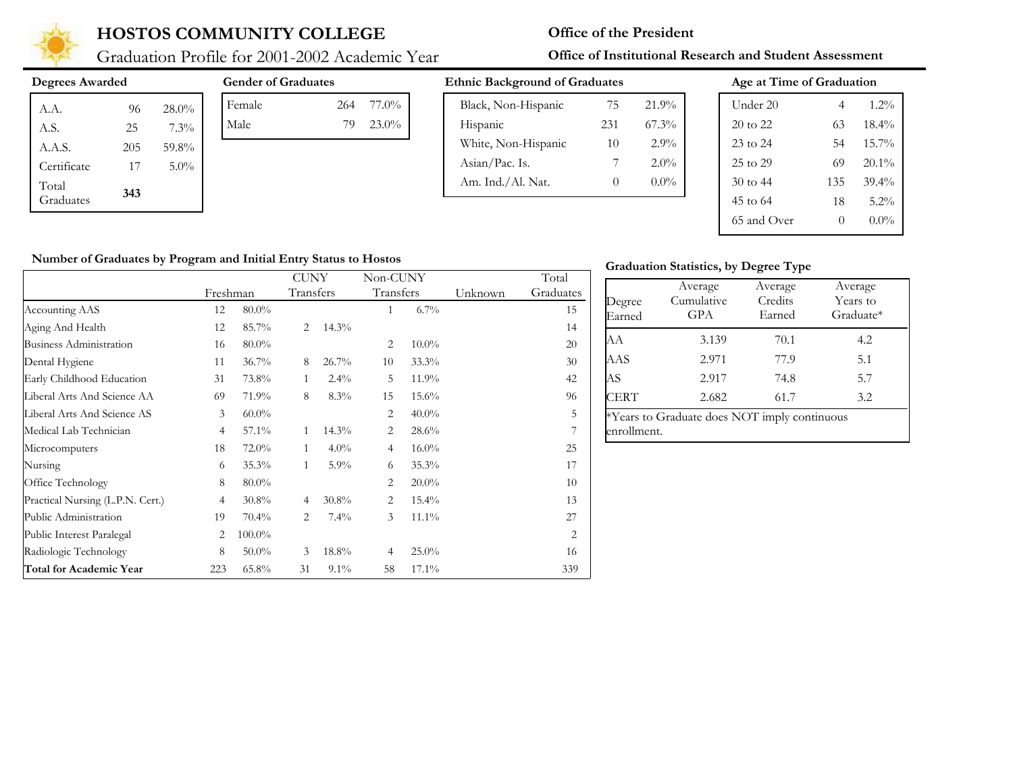

# **HOSTOS COMMUNITY COLLEGE Office of the President**

Graduation Profile for 2001-2002 Academic Year

**Office of Institutional Research and Student Assessment**

| <b>Degrees Awarded</b> |     |          | <b>Gender of Graduates</b> |     |          |
|------------------------|-----|----------|----------------------------|-----|----------|
| A.A.                   | 96  | $28.0\%$ | Female                     | 264 | $77.0\%$ |
| A.S.                   | 25  | $7.3\%$  | Male                       | 79  | $23.0\%$ |
| A.A.S.                 | 205 | 59.8%    |                            |     |          |
| Certificate            | 17  | $5.0\%$  |                            |     |          |
| Total<br>Graduates     | 343 |          |                            |     |          |

| <b>Ethnic Background of Graduates</b> |     |         |  |  |  |  |
|---------------------------------------|-----|---------|--|--|--|--|
| Black, Non-Hispanic                   | 75  | 21.9%   |  |  |  |  |
| Hispanic                              | 231 | 67.3%   |  |  |  |  |
| White, Non-Hispanic                   | 10  | $2.9\%$ |  |  |  |  |
| Asian/Pac. Is.                        |     | $2.0\%$ |  |  |  |  |
| Am. Ind./Al. Nat.                     |     | $0.0\%$ |  |  |  |  |

| Age at Time of Graduation |        |          |  |  |  |  |
|---------------------------|--------|----------|--|--|--|--|
| Under 20                  | 4      | $1.2\%$  |  |  |  |  |
| $20 \text{ to } 22$       | 63     | $18.4\%$ |  |  |  |  |
| $23 \text{ to } 24$       | 54     | $15.7\%$ |  |  |  |  |
| $25 \text{ to } 29$       | 69     | $20.1\%$ |  |  |  |  |
| $30 \text{ to } 44$       | 135    | 39.4%    |  |  |  |  |
| $45 \text{ to } 64$       | 18     | $5.2\%$  |  |  |  |  |
| 65 and Over               | $\cup$ | $0.0\%$  |  |  |  |  |

### **Number of Graduates by Program and Initial Entry Status to Hostos**

|                                  |                |          | <b>CUNY</b>    |          | Non-CUNY       |          |         | Total     |
|----------------------------------|----------------|----------|----------------|----------|----------------|----------|---------|-----------|
|                                  | Freshman       |          | Transfers      |          | Transfers      |          | Unknown | Graduates |
| Accounting AAS                   | 12             | $80.0\%$ |                |          | 1              | $6.7\%$  |         | 15        |
| Aging And Health                 | 12             | 85.7%    | 2              | $14.3\%$ |                |          |         | 14        |
| <b>Business Administration</b>   | 16             | $80.0\%$ |                |          | 2              | $10.0\%$ |         | 20        |
| Dental Hygiene                   | 11             | 36.7%    | 8              | 26.7%    | 10             | $33.3\%$ |         | 30        |
| Early Childhood Education        | 31             | 73.8%    | 1              | $2.4\%$  | 5              | $11.9\%$ |         | 42        |
| Liberal Arts And Science AA      | 69             | 71.9%    | 8              | $8.3\%$  | 15             | $15.6\%$ |         | 96        |
| Liberal Arts And Science AS      | 3              | $60.0\%$ |                |          | 2              | $40.0\%$ |         | 5         |
| Medical Lab Technician           | $\overline{4}$ | 57.1%    | $\mathbf{1}$   | $14.3\%$ | 2              | 28.6%    |         |           |
| Microcomputers                   | 18             | 72.0%    | 1              | $4.0\%$  | $\overline{4}$ | $16.0\%$ |         | 25        |
| Nursing                          | 6              | 35.3%    | $\mathbf{1}$   | $5.9\%$  | 6              | 35.3%    |         | 17        |
| Office Technology                | 8              | $80.0\%$ |                |          | 2              | $20.0\%$ |         | 10        |
| Practical Nursing (L.P.N. Cert.) | 4              | $30.8\%$ | $\overline{4}$ | 30.8%    | 2              | $15.4\%$ |         | 13        |
| Public Administration            | 19             | 70.4%    | $\overline{c}$ | $7.4\%$  | 3              | $11.1\%$ |         | 27        |
| Public Interest Paralegal        | 2              | 100.0%   |                |          |                |          |         | 2         |
| Radiologic Technology            | 8              | $50.0\%$ | 3              | 18.8%    | 4              | $25.0\%$ |         | 16        |
| Total for Academic Year          | 223            | 65.8%    | 31             | $9.1\%$  | 58             | $17.1\%$ |         | 339       |

| Degree<br>Earned | Average<br>Cumulative<br>GPA | Average<br>Credits<br>Earned | Average<br>Years to<br>Graduate* |
|------------------|------------------------------|------------------------------|----------------------------------|
| AА               | 3.139                        | 70.1                         | 4.2                              |
| AAS              | 2.971                        | 77.9                         | 5.1                              |
| AS               | 2.917                        | 74.8                         | 5.7                              |
| CERT             | 2.682                        | 61.7                         | 3.2                              |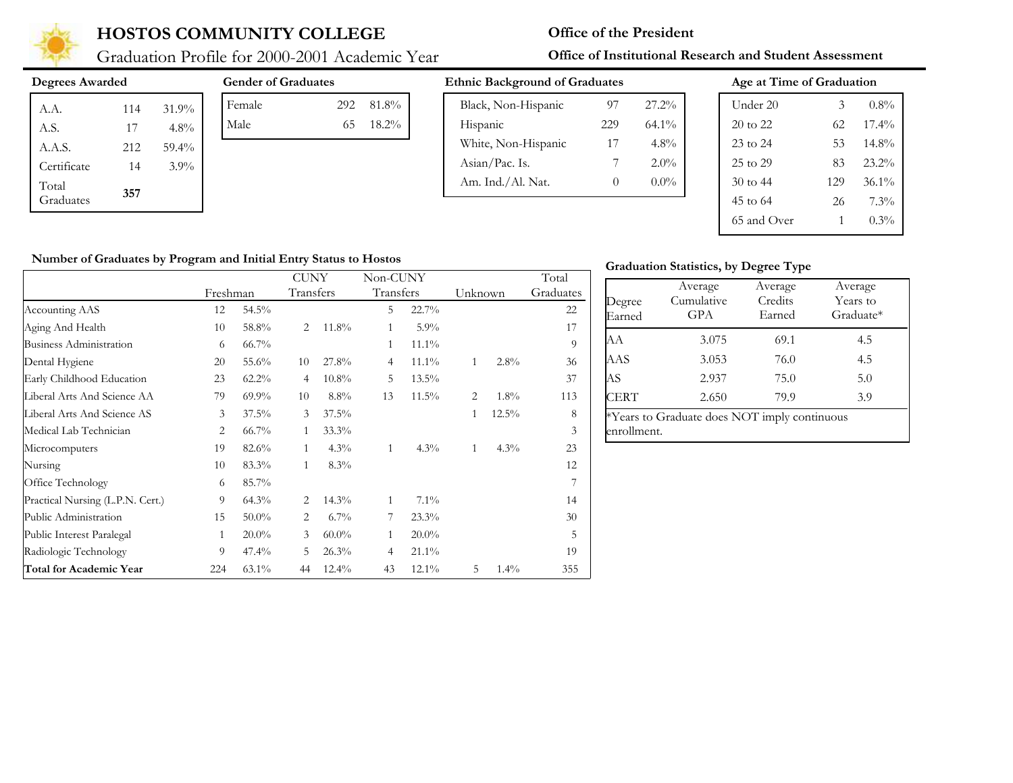

# **HOSTOS COMMUNITY COLLEGE Office of the President**

Graduation Profile for 2000-2001 Academic Year

**Office of Institutional Research and Student Assessment**

| <b>Degrees Awarded</b> |           |               | <b>Gender of Graduates</b> |                             |
|------------------------|-----------|---------------|----------------------------|-----------------------------|
| A.A.<br>A.S.           | 114<br>17 | 31.9%<br>4.8% | Female<br>Male             | 81.8%<br>292<br>18.2%<br>65 |
| A.A.S.                 | 212       | 59.4%         |                            |                             |
| Certificate            | 14        | $3.9\%$       |                            |                             |
| Total<br>Graduates     | 357       |               |                            |                             |

| <b>Ethnic Background of Graduates</b> |     |         |  |  |  |
|---------------------------------------|-----|---------|--|--|--|
| Black, Non-Hispanic                   | 97  | 27.2%   |  |  |  |
| Hispanic                              | 229 | 64.1%   |  |  |  |
| White, Non-Hispanic                   | 17  | 4.8%    |  |  |  |
| Asian/Pac. Is.                        |     | 2.0%    |  |  |  |
| Am. Ind./Al. Nat.                     |     | $0.0\%$ |  |  |  |

| Age at Time of Graduation |     |          |  |  |  |
|---------------------------|-----|----------|--|--|--|
| Under 20                  | 3   | $0.8\%$  |  |  |  |
| $20 \text{ to } 22$       | 62  | $17.4\%$ |  |  |  |
| $23 \text{ to } 24$       | 53  | $14.8\%$ |  |  |  |
| $25 \text{ to } 29$       | 83  | $23.2\%$ |  |  |  |
| $30 \text{ to } 44$       | 129 | $36.1\%$ |  |  |  |
| $45 \text{ to } 64$       | 26  | $7.3\%$  |  |  |  |
| 65 and Over               | 1   | $0.3\%$  |  |  |  |

### **Number of Graduates by Program and Initial Entry Status to Hostos**

|                                  |                |          | <b>CUNY</b>    |          | Non-CUNY     |          |                |          | Total     |
|----------------------------------|----------------|----------|----------------|----------|--------------|----------|----------------|----------|-----------|
|                                  | Freshman       |          | Transfers      |          | Transfers    |          | Unknown        |          | Graduates |
| Accounting AAS                   | 12             | 54.5%    |                |          | 5            | 22.7%    |                |          | 22        |
| Aging And Health                 | 10             | 58.8%    | 2              | 11.8%    | 1            | $5.9\%$  |                |          | 17        |
| Business Administration          | 6              | $66.7\%$ |                |          | 1            | $11.1\%$ |                |          | 9         |
| Dental Hygiene                   | 20             | 55.6%    | 10             | 27.8%    | 4            | $11.1\%$ | $\mathbf{1}$   | $2.8\%$  | 36        |
| Early Childhood Education        | 23             | $62.2\%$ | 4              | $10.8\%$ | 5            | 13.5%    |                |          | 37        |
| Liberal Arts And Science AA      | 79             | $69.9\%$ | 10             | 8.8%     | 13           | $11.5\%$ | $\overline{c}$ | $1.8\%$  | 113       |
| Liberal Arts And Science AS      | 3              | $37.5\%$ | 3              | $37.5\%$ |              |          | 1              | $12.5\%$ | 8         |
| Medical Lab Technician           | $\overline{2}$ | 66.7%    | 1              | $33.3\%$ |              |          |                |          | 3         |
| Microcomputers                   | 19             | 82.6%    | 1              | $4.3\%$  | $\mathbf{1}$ | $4.3\%$  | $\mathbf{1}$   | $4.3\%$  | 23        |
| Nursing                          | 10             | 83.3%    | 1              | $8.3\%$  |              |          |                |          | 12        |
| Office Technology                | 6              | 85.7%    |                |          |              |          |                |          | 7         |
| Practical Nursing (L.P.N. Cert.) | 9              | $64.3\%$ | $\overline{c}$ | $14.3\%$ | 1            | $7.1\%$  |                |          | 14        |
| Public Administration            | 15             | $50.0\%$ | 2              | $6.7\%$  | 7            | $23.3\%$ |                |          | 30        |
| Public Interest Paralegal        | 1              | $20.0\%$ | 3              | $60.0\%$ | 1            | $20.0\%$ |                |          | 5         |
| Radiologic Technology            | 9              | 47.4%    | 5              | 26.3%    | 4            | $21.1\%$ |                |          | 19        |
| Total for Academic Year          | 224            | $63.1\%$ | 44             | $12.4\%$ | 43           | $12.1\%$ | 5              | $1.4\%$  | 355       |

## **Graduation Statistics, by Degree Type**

| Degree<br>Earned | Average<br>Cumulative<br>GPA | Average<br>Credits<br>Earned | Average<br>Years to<br>Graduate* |
|------------------|------------------------------|------------------------------|----------------------------------|
| AA               | 3.075                        | 69.1                         | 4.5                              |
| AAS              | 3.053                        | 76.0                         | 4.5                              |
| <b>AS</b>        | 2.937                        | 75.0                         | 5.0                              |
| CERT             | 2.650                        | 79.9                         | 3.9                              |

enrollment.